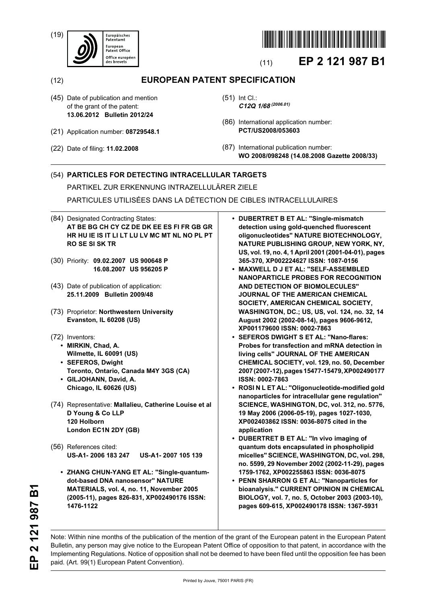(19)





## (11) **EP 2 121 987 B1**

(12) **EUROPEAN PATENT SPECIFICATION**

- (45) Date of publication and mention of the grant of the patent: **13.06.2012 Bulletin 2012/24**
- (21) Application number: **08729548.1**
- (22) Date of filing: **11.02.2008**
- (51) Int Cl.: **C12Q 1/68(2006.01)**
- (86) International application number: **PCT/US2008/053603**
- (87) International publication number: **WO 2008/098248 (14.08.2008 Gazette 2008/33)**

## (54) **PARTICLES FOR DETECTING INTRACELLULAR TARGETS**

PARTIKEL ZUR ERKENNUNG INTRAZELLULÄRER ZIELE

PARTICULES UTILISÉES DANS LA DÉTECTION DE CIBLES INTRACELLULAIRES

- (84) Designated Contracting States: **AT BE BG CH CY CZ DE DK EE ES FI FR GB GR HR HU IE IS IT LI LT LU LV MC MT NL NO PL PT RO SE SI SK TR**
- (30) Priority: **09.02.2007 US 900648 P 16.08.2007 US 956205 P**
- (43) Date of publication of application: **25.11.2009 Bulletin 2009/48**
- (73) Proprietor: **Northwestern University Evanston, IL 60208 (US)**
- (72) Inventors:
	- **MIRKIN, Chad, A. Wilmette, IL 60091 (US)**
	- **SEFEROS, Dwight Toronto, Ontario, Canada M4Y 3GS (CA)**
	- **GILJOHANN, David, A. Chicago, IL 60626 (US)**
- (74) Representative: **Mallalieu, Catherine Louise et al D Young & Co LLP 120 Holborn London EC1N 2DY (GB)**
- (56) References cited: **US-A1- 2006 183 247 US-A1- 2007 105 139**
	- **ZHANG CHUN-YANG ET AL: "Single-quantumdot-based DNA nanosensor" NATURE MATERIALS, vol. 4, no. 11, November 2005 (2005-11), pages 826-831, XP002490176 ISSN: 1476-1122**
- **DUBERTRET B ET AL: "Single-mismatch detection using gold-quenched fluorescent oligonucleotides" NATURE BIOTECHNOLOGY, NATURE PUBLISHING GROUP, NEW YORK, NY, US, vol. 19, no. 4, 1 April 2001 (2001-04-01), pages 365-370, XP002224627 ISSN: 1087-0156**
- **MAXWELL D J ET AL: "SELF-ASSEMBLED NANOPARTICLE PROBES FOR RECOGNITION AND DETECTION OF BIOMOLECULES" JOURNAL OF THE AMERICAN CHEMICAL SOCIETY, AMERICAN CHEMICAL SOCIETY, WASHINGTON, DC.; US, US, vol. 124, no. 32, 14 August 2002 (2002-08-14), pages 9606-9612, XP001179600 ISSN: 0002-7863**
- **SEFEROS DWIGHT S ET AL: "Nano-flares: Probes for transfection and mRNA detection in living cells" JOURNAL OF THE AMERICAN CHEMICAL SOCIETY, vol. 129, no. 50, December 2007 (2007-12), pages 15477-15479, XP002490177 ISSN: 0002-7863**
- **ROSI N L ET AL: "Oligonucleotide-modified gold nanoparticles for intracellular gene regulation" SCIENCE, WASHINGTON, DC, vol. 312, no. 5776, 19 May 2006 (2006-05-19), pages 1027-1030, XP002403862 ISSN: 0036-8075 cited in the application**
- **DUBERTRET B ET AL: "In vivo imaging of quantum dots encapsulated in phospholipid micelles" SCIENCE, WASHINGTON, DC, vol. 298, no. 5599, 29 November 2002 (2002-11-29), pages 1759-1762, XP002255863 ISSN: 0036-8075**
- **PENN SHARRON G ET AL: "Nanoparticles for bioanalysis." CURRENT OPINION IN CHEMICAL BIOLOGY, vol. 7, no. 5, October 2003 (2003-10), pages 609-615, XP002490178 ISSN: 1367-5931**

Note: Within nine months of the publication of the mention of the grant of the European patent in the European Patent Bulletin, any person may give notice to the European Patent Office of opposition to that patent, in accordance with the Implementing Regulations. Notice of opposition shall not be deemed to have been filed until the opposition fee has been paid. (Art. 99(1) European Patent Convention).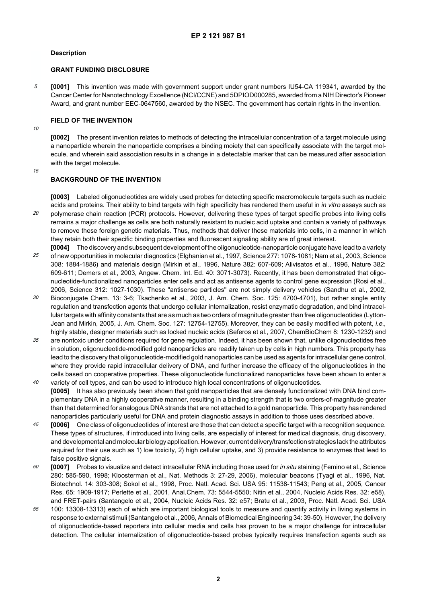#### **Description**

#### **GRANT FUNDING DISCLOSURE**

5 **[0001]** This invention was made with government support under grant numbers IU54-CA 119341, awarded by the Cancer Center for Nanotechnology Excellence (NCI/CCNE) and 5DPIOD000285, awarded from a NIH Director's Pioneer Award, and grant number EEC-0647560, awarded by the NSEC. The government has certain rights in the invention.

#### **FIELD OF THE INVENTION**

10

**[0002]** The present invention relates to methods of detecting the intracellular concentration of a target molecule using a nanoparticle wherein the nanoparticle comprises a binding moiety that can specifically associate with the target molecule, and wherein said association results in a change in a detectable marker that can be measured after association with the target molecule.

15

## **BACKGROUND OF THE INVENTION**

20 **[0003]** Labeled oligonucleotides are widely used probes for detecting specific macromolecule targets such as nucleic acids and proteins. Their ability to bind targets with high specificity has rendered them useful in in vitro assays such as polymerase chain reaction (PCR) protocols. However, delivering these types of target specific probes into living cells remains a major challenge as cells are both naturally resistant to nucleic acid uptake and contain a variety of pathways to remove these foreign genetic materials. Thus, methods that deliver these materials into cells, in a manner in which they retain both their specific binding properties and fluorescent signaling ability are of great interest.

- 25 **[0004]** The discovery and subsequent development of the oligonucleotide-nanoparticle conjugate have lead to a variety of new opportunities in molecular diagnostics (Elghanian et al., 1997, Science 277: 1078-1081; Nam et al., 2003, Science 308: 1884-1886) and materials design (Mirkin et al., 1996, Nature 382: 607-609; Alivisatos et al., 1996, Nature 382: 609-611; Demers et al., 2003, Angew. Chem. Int. Ed. 40: 3071-3073). Recently, it has been demonstrated that oligonucleotide-functionalized nanoparticles enter cells and act as antisense agents to control gene expression (Rosi et al., 2006, Science 312: 1027-1030). These "antisense particles" are not simply delivery vehicles (Sandhu et al., 2002,
- 30 Bioconjugate Chem. 13: 3-6; Tkachenko et al., 2003, J. Am. Chem. Soc. 125: 4700-4701), but rather single entity regulation and transfection agents that undergo cellular internalization, resist enzymatic degradation, and bind intracellular targets with affinity constants that are as much as two orders of magnitude greater than free oligonucleotides (Lytton-Jean and Mirkin, 2005, J. Am. Chem. Soc. 127: 12754-12755). Moreover, they can be easily modified with potent, i.e., highly stable, designer materials such as locked nucleic acids (Seferos et al., 2007, ChemBioChem 8: 1230-1232) and
- 35  $40$ are nontoxic under conditions required for gene regulation. Indeed, it has been shown that, unlike oligonucleotides free in solution, oligonucleotide-modified gold nanoparticles are readily taken up by cells in high numbers. This property has lead to the discovery that oligonucleotide-modified gold nanoparticles can be used as agents for intracellular gene control, where they provide rapid intracellular delivery of DNA, and further increase the efficacy of the oligonucleotides in the cells based on cooperative properties. These oligonucleotide functionalized nanoparticles have been shown to enter a
- variety of cell types, and can be used to introduce high local concentrations of oligonucleotides. **[0005]** It has also previously been shown that gold nanoparticles that are densely functionalized with DNA bind complementary DNA in a highly cooperative manner, resulting in a binding strength that is two orders-of-magnitude greater than that determined for analogous DNA strands that are not attached to a gold nanoparticle. This property has rendered nanoparticles particularly useful for DNA and protein diagnostic assays in addition to those uses described above.
- 45 **[0006]** One class of oligonucleotides of interest are those that can detect a specific target with a recognition sequence. These types of structures, if introduced into living cells, are especially of interest for medical diagnosis, drug discovery, and developmental and molecular biology application. However, current delivery/transfection strategies lack the attributes required for their use such as 1) low toxicity, 2) high cellular uptake, and 3) provide resistance to enzymes that lead to false positive signals.
- 50 **[0007]** Probes to visualize and detect intracellular RNA including those used for in situ staining (Femino et al., Science 280: 585-590, 1998; Kloosterman et al., Nat. Methods 3: 27-29, 2006), molecular beacons (Tyagi et al., 1996, Nat. Biotechnol. 14: 303-308; Sokol et al., 1998, Proc. Natl. Acad. Sci. USA 95: 11538-11543; Peng et al., 2005, Cancer Res. 65: 1909-1917; Perlette et al., 2001, Anal.Chem. 73: 5544-5550; Nitin et al., 2004, Nucleic Acids Res. 32: e58), and FRET-pairs (Santangelo et al., 2004, Nucleic Acids Res. 32: e57; Bratu et al., 2003, Proc. Natl. Acad. Sci. USA
- 55 100: 13308-13313) each of which are important biological tools to measure and quantify activity in living systems in response to external stimuli (Santangelo et al., 2006, Annals of Biomedical Engineering 34: 39-50). However, the delivery of oligonucleotide-based reporters into cellular media and cells has proven to be a major challenge for intracellular detection. The cellular internalization of oligonucleotide-based probes typically requires transfection agents such as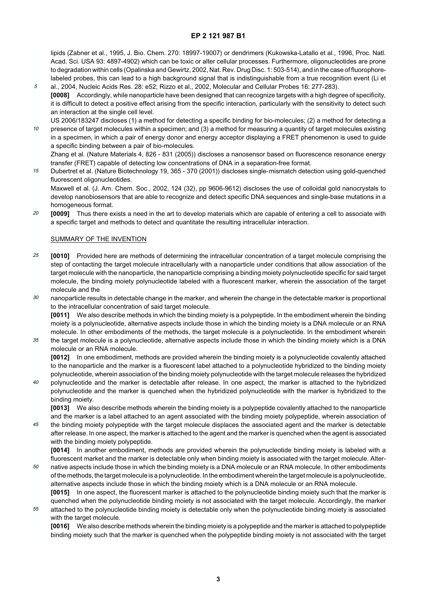lipids (Zabner et al., 1995, J. Bio. Chem. 270: 18997-19007) or dendrimers (Kukowska-Latallo et al., 1996, Proc. Natl. Acad. Sci. USA 93: 4897-4902) which can be toxic or alter cellular processes. Furthermore, oligonucleotides are prone to degradation within cells (Opalinska and Gewirtz, 2002, Nat. Rev. Drug Disc. 1: 503-514), and in the case of fluorophorelabeled probes, this can lead to a high background signal that is indistinguishable from a true recognition event (Li et

- 5 al., 2004, Nucleic Acids Res. 28: e52; Rizzo et al., 2002, Molecular and Cellular Probes 16: 277-283). **[0008]** Accordingly, while nanoparticle have been designed that can recognize targets with a high degree of specificity, it is difficult to detect a positive effect arising from the specific interaction, particularly with the sensitivity to detect such an interaction at the single cell level.
- 10 US 2006/183247 discloses (1) a method for detecting a specific binding for bio-molecules; (2) a method for detecting a presence of target molecules within a specimen; and (3) a method for measuring a quantity of target molecules existing in a specimen, in which a pair of energy donor and energy acceptor displaying a FRET phenomenon is used to guide a specific binding between a pair of bio-molecules.

Zhang et al. (Nature Materials 4, 826 - 831 (2005)) discloses a nanosensor based on fluorescence resonance energy transfer (FRET) capable of detecting low concentrations of DNA in a separation-free format.

15 Dubertret et al. (Nature Biotechnology 19, 365 - 370 (2001)) discloses single-mismatch detection using gold-quenched fluorescent oligonucleotides. Maxwell et al. (J. Am. Chem. Soc., 2002, 124 (32), pp 9606-9612) discloses the use of colloidal gold nanocrystals to

develop nanobiosensors that are able to recognize and detect specific DNA sequences and single-base mutations in a homogeneous format.

20 **[0009]** Thus there exists a need in the art to develop materials which are capable of entering a cell to associate with a specific target and methods to detect and quantitate the resulting intracellular interaction.

#### SUMMARY OF THE INVENTION

55

- 25 **[0010]** Provided here are methods of determining the intracellular concentration of a target molecule comprising the step of contacting the target molecule intracellularly with a nanoparticle under conditions that allow association of the target molecule with the nanoparticle, the nanoparticle comprising a binding moiety polynucleotide specific for said target molecule, the binding moiety polynucleotide labeled with a fluorescent marker, wherein the association of the target molecule and the
- 30 nanoparticle results in detectable change in the marker, and wherein the change in the detectable marker is proportional to the intracellular concentration of said target molecule.

**[0011]** We also describe methods in which the binding moiety is a polypeptide. In the embodiment wherein the binding moiety is a polynucleotide, alternative aspects include those in which the binding moiety is a DNA molecule or an RNA molecule. In other embodiments of the methods, the target molecule is a polynucleotide. In the embodiment wherein

35 the target molecule is a polynucleotide, alternative aspects include those in which the binding moiety which is a DNA molecule or an RNA molecule.

**[0012]** In one embodiment, methods are provided wherein the binding moiety is a polynucleotide covalently attached to the nanoparticle and the marker is a fluorescent label attached to a polynucleotide hybridized to the binding moiety polynucleotide, wherein association of the binding moiety polynucleotide with the target molecule releases the hybridized

 $40$ polynucleotide and the marker is detectable after release. In one aspect, the marker is attached to the hybridized polynucleotide and the marker is quenched when the hybridized polynucleotide with the marker is hybridized to the binding moiety.

**[0013]** We also describe methods wherein the binding moiety is a polypeptide covalently attached to the nanoparticle and the marker is a label attached to an agent associated with the binding moiety polypeptide, wherein association of

45 the binding moiety polypeptide with the target molecule displaces the associated agent and the marker is detectable after release. In one aspect, the marker is attached to the agent and the marker is quenched when the agent is associated with the binding moiety polypeptide.

**[0014]** In another embodiment, methods are provided wherein the polynucleotide binding moiety is labeled with a fluorescent market and the marker is detectable only when binding moiety is associated with the target molecule. Alter-

50 native aspects include those in which the binding moiety is a DNA molecule or an RNA molecule. In other embodiments of the methods, the target molecule is a polynucleotide. In the embodiment wherein the target molecule is a polynucleotide, alternative aspects include those in which the binding moiety which is a DNA molecule or an RNA molecule.

**[0015]** In one aspect, the fluorescent marker is attached to the polynucleotide binding moiety such that the marker is quenched when the polynucleotide binding moiety is not associated with the target molecule. Accordingly, the marker attached to the polynucleotide binding moiety is detectable only when the polynucleotide binding moiety is associated with the target molecule.

**[0016]** We also describe methods wherein the binding moiety is a polypeptide and the marker is attached to polypeptide binding moiety such that the marker is quenched when the polypeptide binding moiety is not associated with the target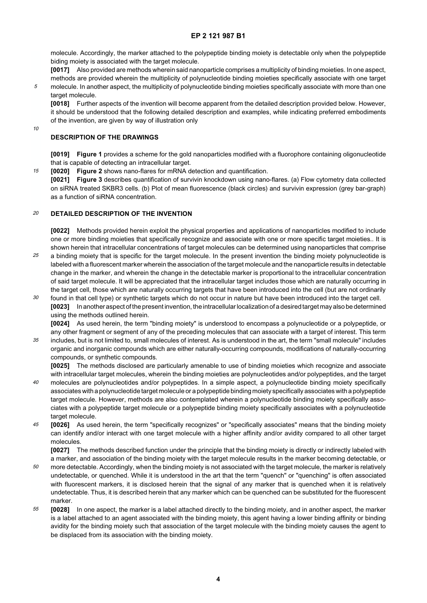molecule. Accordingly, the marker attached to the polypeptide binding moiety is detectable only when the polypeptide biding moiety is associated with the target molecule.

**[0017]** Also provided are methods wherein said nanoparticle comprises a multiplicity of binding moieties. In one aspect,

methods are provided wherein the multiplicity of polynucleotide binding moieties specifically associate with one target molecule. In another aspect, the multiplicity of polynucleotide binding moieties specifically associate with more than one target molecule.

**[0018]** Further aspects of the invention will become apparent from the detailed description provided below. However, it should be understood that the following detailed description and examples, while indicating preferred embodiments of the invention, are given by way of illustration only

10

15

5

#### **DESCRIPTION OF THE DRAWINGS**

**[0019] Figure 1** provides a scheme for the gold nanoparticles modified with a fluorophore containing oligonucleotide that is capable of detecting an intracellular target.

**[0020] Figure 2** shows nano-flares for mRNA detection and quantification.

**[0021] Figure 3** describes quantification of survivin knockdown using nano-flares. (a) Flow cytometry data collected on siRNA treated SKBR3 cells. (b) Plot of mean fluorescence (black circles) and survivin expression (grey bar-graph) as a function of siRNA concentration.

#### 20 **DETAILED DESCRIPTION OF THE INVENTION**

**[0022]** Methods provided herein exploit the physical properties and applications of nanoparticles modified to include one or more binding moieties that specifically recognize and associate with one or more specific target moieties.. It is shown herein that intracellular concentrations of target molecules can be determined using nanoparticles that comprise

- 25 a binding moiety that is specific for the target molecule. In the present invention the binding moiety polynucleotide is labeled with a fluorescent marker wherein the association of the target molecule and the nanoparticle results in detectable change in the marker, and wherein the change in the detectable marker is proportional to the intracellular concentration of said target molecule. It will be appreciated that the intracellular target includes those which are naturally occurring in the target cell, those which are naturally occurring targets that have been introduced into the cell (but are not ordinarily
- 30 found in that cell type) or synthetic targets which do not occur in nature but have been introduced into the target cell. **[0023]** In another aspect of the present invention, the intracellular localization of a desired target may also be determined using the methods outlined herein.

**[0024]** As used herein, the term "binding moiety" is understood to encompass a polynucleotide or a polypeptide, or any other fragment or segment of any of the preceding molecules that can associate with a target of interest. This term

35 includes, but is not limited to, small molecules of interest. As is understood in the art, the term "small molecule" includes organic and inorganic compounds which are either naturally-occurring compounds, modifications of naturally-occurring compounds, or synthetic compounds.

**[0025]** The methods disclosed are particularly amenable to use of binding moieties which recognize and associate with intracellular target molecules, wherein the binding moieties are polynucleotides and/or polypeptides, and the target molecules are polynucleotides and/or polypeptides. In a simple aspect, a polynucleotide binding moiety specifically

- $40$ associates with a polynucleotide target molecule or a polypeptide binding moiety specifically associates with a polypeptide target molecule. However, methods are also contemplated wherein a polynucleotide binding moiety specifically associates with a polypeptide target molecule or a polypeptide binding moiety specifically associates with a polynucleotide target molecule.
- 45 **[0026]** As used herein, the term "specifically recognizes" or "specifically associates" means that the binding moiety can identify and/or interact with one target molecule with a higher affinity and/or avidity compared to all other target molecules.

**[0027]** The methods described function under the principle that the binding moiety is directly or indirectly labeled with a marker, and association of the binding moiety with the target molecule results in the marker becoming detectable, or

- 50 more detectable. Accordingly, when the binding moiety is not associated with the target molecule, the marker is relatively undetectable, or quenched. While it is understood in the art that the term "quench" or "quenching" is often associated with fluorescent markers, it is disclosed herein that the signal of any marker that is quenched when it is relatively undetectable. Thus, it is described herein that any marker which can be quenched can be substituted for the fluorescent marker.
- 55 **[0028]** In one aspect, the marker is a label attached directly to the binding moiety, and in another aspect, the marker is a label attached to an agent associated with the binding moiety, this agent having a lower binding affinity or binding avidity for the binding moiety such that association of the target molecule with the binding moiety causes the agent to be displaced from its association with the binding moiety.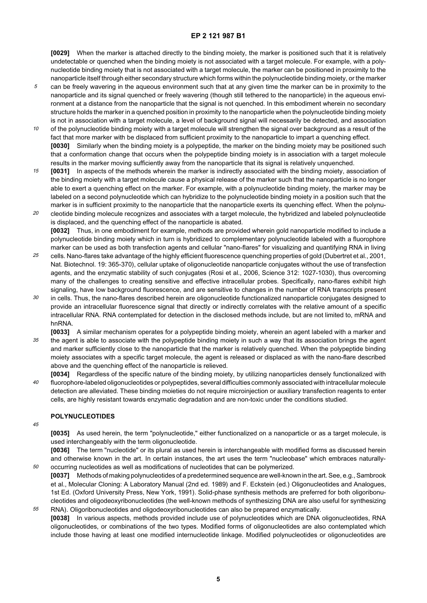**[0029]** When the marker is attached directly to the binding moiety, the marker is positioned such that it is relatively undetectable or quenched when the binding moiety is not associated with a target molecule. For example, with a polynucleotide binding moiety that is not associated with a target molecule, the marker can be positioned in proximity to the nanoparticle itself through either secondary structure which forms within the polynucleotide binding moiety, or the marker

- 5 can be freely wavering in the aqueous environment such that at any given time the marker can be in proximity to the nanoparticle and its signal quenched or freely wavering (though still tethered to the nanoparticle) in the aqueous environment at a distance from the nanoparticle that the signal is not quenched. In this embodiment wherein no secondary structure holds the marker in a quenched position in proximity to the nanoparticle when the polynucleotide binding moiety is not in association with a target molecule, a level of background signal will necessarily be detected, and association
- 10 of the polynucleotide binding moiety with a target molecule will strengthen the signal over background as a result of the fact that more marker with be displaced from sufficient proximity to the nanoparticle to impart a quenching effect. **[0030]** Similarly when the binding moiety is a polypeptide, the marker on the binding moiety may be positioned such that a conformation change that occurs when the polypeptide binding moiety is in association with a target molecule results in the marker moving sufficiently away from the nanoparticle that its signal is relatively unquenched.
- 15 **[0031]** In aspects of the methods wherein the marker is indirectly associated with the binding moiety, association of the binding moiety with a target molecule cause a physical release of the marker such that the nanoparticle is no longer able to exert a quenching effect on the marker. For example, with a polynucleotide binding moiety, the marker may be labeled on a second polynucleotide which can hybridize to the polynucleotide binding moiety in a position such that the marker is in sufficient proximity to the nanoparticle that the nanoparticle exerts its quenching effect. When the polynu-
- 20 cleotide binding molecule recognizes and associates with a target molecule, the hybridized and labeled polynucleotide is displaced, and the quenching effect of the nanoparticle is abated. **[0032]** Thus, in one embodiment for example, methods are provided wherein gold nanoparticle modified to include a polynucleotide binding moiety which in turn is hybridized to complementary polynucleotide labeled with a fluorophore marker can be used as both transfection agents and cellular "nano-flares" for visualizing and quantifying RNA in living
- 25 cells. Nano-flares take advantage of the highly efficient fluorescence quenching properties of gold (Dubertret et al., 2001, Nat. Biotechnol. 19: 365-370), cellular uptake of oligonucleotide nanoparticle conjugates without the use of transfection agents, and the enzymatic stability of such conjugates (Rosi et al., 2006, Science 312: 1027-1030), thus overcoming many of the challenges to creating sensitive and effective intracellular probes. Specifically, nano-flares exhibit high signaling, have low background fluorescence, and are sensitive to changes in the number of RNA transcripts present
- 30 in cells. Thus, the nano-flares described herein are oligonucleotide functionalized nanoparticle conjugates designed to provide an intracellular fluorescence signal that directly or indirectly correlates with the relative amount of a specific intracellular RNA. RNA contemplated for detection in the disclosed methods include, but are not limited to, mRNA and hnRNA.
- 35 **[0033]** A similar mechanism operates for a polypeptide binding moiety, wherein an agent labeled with a marker and the agent is able to associate with the polypeptide binding moiety in such a way that its association brings the agent and marker sufficiently close to the nanoparticle that the marker is relatively quenched. When the polypeptide binding moiety associates with a specific target molecule, the agent is released or displaced as with the nano-flare described above and the quenching effect of the nanoparticle is relieved.
- $40$ **[0034]** Regardless of the specific nature of the binding moiety, by utilizing nanoparticles densely functionalized with fluorophore-labeled oligonucleotides or polypeptides, several difficulties commonly associated with intracellular molecule detection are alleviated. These binding moieties do not require microinjection or auxiliary transfection reagents to enter cells, are highly resistant towards enzymatic degradation and are non-toxic under the conditions studied.

#### **POLYNUCLEOTIDES**

45

50

**[0035]** As used herein, the term "polynucleotide," either functionalized on a nanoparticle or as a target molecule, is used interchangeably with the term oligonucleotide.

**[0036]** The term "nucleotide" or its plural as used herein is interchangeable with modified forms as discussed herein and otherwise known in the art. In certain instances, the art uses the term "nucleobase" which embraces naturallyoccurring nucleotides as well as modifications of nucleotides that can be polymerized.

55 **[0037]** Methods of making polynucleotides of a predetermined sequence are well-known in the art. See, e.g., Sambrook et al., Molecular Cloning: A Laboratory Manual (2nd ed. 1989) and F. Eckstein (ed.) Oligonucleotides and Analogues, 1st Ed. (Oxford University Press, New York, 1991). Solid-phase synthesis methods are preferred for both oligoribonucleotides and oligodeoxyribonucleotides (the well-known methods of synthesizing DNA are also useful for synthesizing RNA). Oligoribonucleotides and oligodeoxyribonucleotides can also be prepared enzymatically.

**[0038]** In various aspects, methods provided include use of polynucleotides which are DNA oligonucleotides, RNA oligonucleotides, or combinations of the two types. Modified forms of oligonucleotides are also contemplated which include those having at least one modified internucleotide linkage. Modified polynucleotides or oligonucleotides are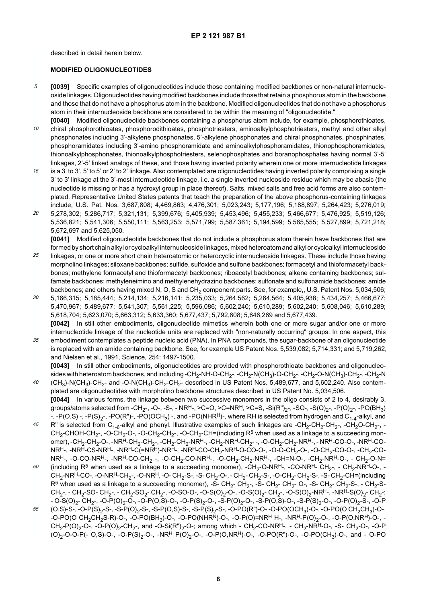described in detail herein below.

 $40$ 

#### **MODIFIED OLIGONUCLEOTIDES**

- 5 **[0039]** Specific examples of oligonucleotides include those containing modified backbones or non-natural internucleoside linkages. Oligonucleotides having modified backbones include those that retain a phosphorus atom in the backbone and those that do not have a phosphorus atom in the backbone. Modified oligonucleotides that do not have a phosphorus atom in their internucleoside backbone are considered to be within the meaning of "oligonucleotide."
- 10 **[0040]** Modified oligonucleotide backbones containing a phosphorus atom include, for example, phosphorothioates, chiral phosphorothioates, phosphorodithioates, phosphotriesters, aminoalkylphosphotriesters, methyl and other alkyl phosphonates including 3'-alkylene phosphonates, 5'-alkylene phosphonates and chiral phosphonates, phosphinates, phosphoramidates including 3'-amino phosphoramidate and aminoalkylphosphoramidates, thionophosphoramidates, thionoalkylphosphonates, thionoalkylphosphotriesters, selenophosphates and boranophosphates having normal 3'-5' linkages, 2'-5' linked analogs of these, and those having inverted polarity wherein one or more internucleotide linkages
- 15 is a 3' to 3', 5' to 5' or 2' to 2' linkage. Also contemplated are oligonucleotides having inverted polarity comprising a single 3' to 3' linkage at the 3'-most internucleotide linkage, i.e. a single inverted nucleoside residue which may be abasic (the nucleotide is missing or has a hydroxyl group in place thereof). Salts, mixed salts and free acid forms are also contemplated. Representative United States patents that teach the preparation of the above phosphorus-containing linkages include, U.S. Pat. Nos. 3,687,808; 4,469,863; 4,476,301; 5,023,243; 5,177,196; 5,188,897; 5,264,423; 5,276,019;
- 20 5,278,302; 5,286,717; 5,321,131; 5,399,676; 5,405,939; 5,453,496; 5,455,233; 5,466,677; 5,476,925; 5,519,126; 5,536,821; 5,541,306; 5,550,111; 5,563,253; 5,571,799; 5,587,361; 5,194,599; 5,565,555; 5,527,899; 5,721,218; 5,672,697 and 5,625,050.

**[0041]** Modified oligonucleotide backbones that do not include a phosphorus atom therein have backbones that are formed by short chain alkyl or cycloalkyl internucleoside linkages, mixed heteroatom and alkyl or cycloalkyl internucleoside

- 25 linkages, or one or more short chain heteroatomic or heterocyclic internucleoside linkages. These include those having morpholino linkages; siloxane backbones; sulfide, sulfoxide and sulfone backbones; formacetyl and thioformacetyl backbones; methylene formacetyl and thioformacetyl backbones; riboacetyl backbones; alkene containing backbones; sulfamate backbones; methyleneimino and methylenehydrazino backbones; sulfonate and sulfonamide backbones; amide backbones; and others having mixed N, O, S and CH<sub>2</sub> component parts. See, for example,, U.S. Patent Nos. 5,034,506;
- 30 5,166,315; 5,185,444; 5,214,134; 5,216,141; 5,235,033; 5,264,562; 5,264,564; 5,405,938; 5,434,257; 5,466,677; 5,470,967; 5,489,677; 5,541,307; 5,561,225; 5,596,086; 5,602,240; 5,610,289; 5,602,240; 5,608,046; 5,610,289; 5,618,704; 5,623,070; 5,663,312; 5,633,360; 5,677,437; 5,792,608; 5,646,269 and 5,677,439. **[0042]** In still other embodiments, oligonucleotide mimetics wherein both one or more sugar and/or one or more
- 35 internucleotide linkage of the nucleotide units are replaced with "non-naturally occurring" groups. In one aspect, this embodiment contemplates a peptide nucleic acid (PNA). In PNA compounds, the sugar-backbone of an oligonucleotide is replaced with an amide containing backbone. See, for example US Patent Nos. 5,539,082; 5,714,331; and 5,719,262, and Nielsen et al., 1991, Science, 254: 1497-1500.

**[0043]** In still other embodiments, oligonucleotides are provided with phosphorothioate backbones and oligonucleosides with heteroatom backbones, and including -CH<sub>2</sub>-NH-O-CH<sub>2</sub>-, -CH<sub>2</sub>-N(CH<sub>3</sub>)-O-CH<sub>2</sub>-, -CH<sub>2</sub>-O-N(CH<sub>3</sub>)-CH<sub>2</sub>-, -CH<sub>2</sub>-N  $(CH<sub>3</sub>)$ -N(CH<sub>3</sub>)-CH<sub>2</sub>- and -O-N(CH<sub>3</sub>)-CH<sub>2</sub>-CH<sub>2</sub>- described in US Patent Nos. 5,489,677, and 5,602,240. Also contemplated are oligonucleotides with morpholino backbone structures described in US Patent No. 5,034,506.

- **[0044]** In various forms, the linkage between two successive monomers in the oligo consists of 2 to 4, desirably 3, groups/atoms selected from -CH<sub>2</sub>-, -O-, -S-, - NR<sup>H</sup>-, >C=O, >C=NR<sup>H</sup>, >C=S, -Si(R")<sub>2</sub>-, -SO-, -S(O)<sub>2</sub>-, -P(O)<sub>2</sub>-, -PO(BH<sub>3</sub>) -,  $-P(O,S)$  -,  $-P(S)_{2}$ -,  $-PO(R")$ -,  $-PO(OCH_3)$ -, and  $-PO(NHR<sup>H</sup>)$ -, where RH is selected from hydrogen and  $C_{1-4}$ -alkyl, and
- 45 R" is selected from C<sub>1-6</sub>-alkyl and phenyl. Illustrative examples of such linkages are -CH<sub>2</sub>-CH<sub>2</sub>-CH<sub>2</sub>-, -CH<sub>2</sub>O-CH<sub>2</sub>-, -CH<sub>2</sub>-CHOH-CH<sub>2</sub>-, -O-CH<sub>2</sub>-O-, -O-CH<sub>2</sub>-CH<sub>2</sub>-, -O-CH<sub>2</sub>-CH=(including R<sup>5</sup> when used as a linkage to a succeeding monomer), -CH<sub>2</sub>-CH<sub>2</sub>-O-, -NR<sup>H</sup>-CH<sub>2</sub>-CH<sub>2</sub>-, -CH<sub>2</sub>-CH<sub>2</sub>-NR<sup>H</sup>-, -CH<sub>2</sub>-NR<sup>H</sup>-CH<sub>2</sub>--, -O-CH<sub>2</sub>-CH<sub>2</sub>-NR<sup>H</sup>-, -NR<sup>H</sup>-CO-O-, -NR<sup>H</sup>-CO-NRH-, -NRH-CS-NRH-, -NRH-C(=NRH)-NRH-, -NRH-CO-CH2-NRH-O-CO-O-, -O-O-CH2-O-, -O-CH2-CO-O-, -CH2-CO- $NRH-$ , -O-CO-NR<sup>H</sup>-, -NR<sup>H</sup>-CO-CH<sub>2</sub> -, -O-CH<sub>2</sub>-CO-NR<sup>H</sup>-, -O-CH<sub>2</sub>-CH<sub>2</sub>-NR<sup>H</sup>-, -CH=N-O-, -CH<sub>2</sub>-NR<sup>H</sup>-O-, - CH<sub>2</sub>-O-N=
- 50 (including R<sup>5</sup> when used as a linkage to a succeeding monomer), -CH<sub>2</sub>-O-NR<sup>H</sup>-, -CO-NR<sup>H</sup>- CH<sub>2</sub>-, - CH<sub>2</sub>-NR<sup>H</sup>-O-, - $CH_2$ -NR<sup>H</sup>-CO-, -O-NR<sup>H</sup>-CH<sub>2</sub>-, -O-NR<sup>H</sup>, -O- CH<sub>2</sub>-S-, -S- CH<sub>2</sub>-O-, - CH<sub>2</sub>-CH<sub>2</sub>-S-, -O-CH<sub>2</sub>- CH<sub>2</sub>-S-, -S- CH<sub>2</sub>-CH=(including  $R^5$  when used as a linkage to a succeeding monomer), -S- CH<sub>2</sub>- CH<sub>2</sub>-, -S- CH<sub>2</sub>- CH<sub>2</sub>- O-, -S- CH<sub>2</sub>- CH<sub>2</sub>-S-, - CH<sub>2</sub>-S- $CH_2$ -, - CH<sub>2</sub>-SO- CH<sub>2</sub>-, - CH<sub>2</sub>-SO<sub>2</sub>- CH<sub>2</sub>-, -O-SO-O-, -O-S(O)<sub>2</sub>-O-, -O-S(O)<sub>2</sub>- CH<sub>2</sub>-, -O-S(O)<sub>2</sub>-NR<sup>H</sup>-, -NR<sup>H</sup>-S(O)<sub>2</sub>- CH<sub>2</sub>-;  $-$  O-S(O)<sub>2</sub>- CH<sub>2</sub>-, -O-P(O)<sub>2</sub>-O-, -O-P(O,S)-O-, -O-P(S)<sub>2</sub>-O-, -S-P(O)<sub>2</sub>-O-, -S-P(O,S)-O-, -S-P(S)<sub>2</sub>-O-, -O-P(O)<sub>2</sub>-S-, -O-P
- 55  $(O,S)$ -S-, -O-P $(S)$ <sub>2</sub>-S-, -S-P $(O)$ <sub>2</sub>-S-, -S-P $(O,S)$ -S-, -S-P $(S)$ <sub>2</sub>-S-, -O-PO $(R")$ -O- -O-PO $(OCH_3)$ -O-, -O-PO $(O CH_2CH_3)$ -O-, -O-PO(O CH<sub>2</sub>CH<sub>2</sub>S-R)-O-, -O-PO(BH<sub>3</sub>)-O-, -O-PO(NHR<sup>N</sup>)-O-, -O-P(O)=NR<sup>H</sup> H-, -NR<sup>H</sup>-P(O)<sub>2</sub>-O-, -O-P(O,NR<sup>H</sup>)-O-, - $CH_2-P(O)_2$ -O-, -O-P(O)<sub>2</sub>-CH<sub>2</sub>-, and -O-Si(R")<sub>2</sub>-O-; among which - CH<sub>2</sub>-CO-NR<sup>H</sup>-, - CH<sub>2</sub>-NR<sup>H</sup>-O-, -S- CH<sub>2</sub>-O-, -O-P  $(O)_2$ -O-O-P(- O,S)-O-, -O-P(S)<sub>2</sub>-O-, -NR<sup>H</sup> P(O)<sub>2</sub>-O-, -O-P(O,NR<sup>H</sup>)-O-, -O-PO(R")-O-, -O-PO(CH<sub>3</sub>)-O-, and - O-PO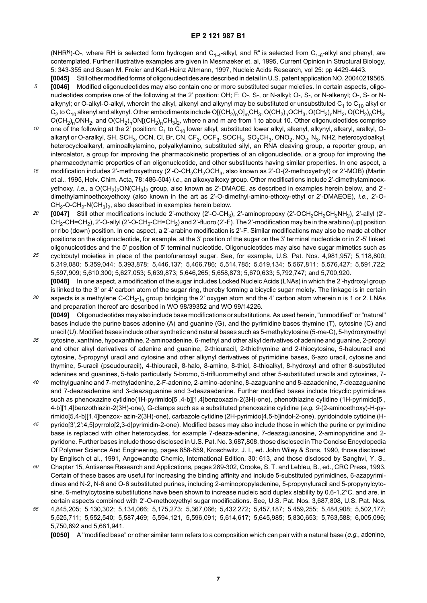(NHR<sup>N</sup>)-O-, where RH is selected form hydrogen and C<sub>1-4</sub>-alkyl, and R" is selected from C<sub>1-6</sub>-alkyl and phenyl, are contemplated. Further illustrative examples are given in Mesmaeker et. al, 1995, Current Opinion in Structural Biology, 5: 343-355 and Susan M. Freier and Karl-Heinz Altmann, 1997, Nucleic Acids Research, vol 25: pp 4429-4443.

- **[0045]** Still other modified forms of oligonucleotides are described in detail in U.S. patent application NO. 20040219565.
- 5 **[0046]** Modified oligonucleotides may also contain one or more substituted sugar moieties. In certain aspects, oligonucleotides comprise one of the following at the 2' position: OH; F; O-, S-, or N-alkyl; O-, S-, or N-alkenyl; O-, S- or Nalkynyl; or O-alkyl-O-alkyl, wherein the alkyl, alkenyl and alkynyl may be substituted or unsubstituted  $C_1$  to  $C_{10}$  alkyl or  $C_2$  to  $C_{10}$  alkenyl and alkynyl. Other embodiments include O[(CH<sub>2</sub>)<sub>n</sub>O]<sub>m</sub>CH<sub>3</sub>, O(CH<sub>2</sub>)<sub>n</sub>OCH<sub>3</sub>, O(CH<sub>2</sub>)<sub>n</sub>NH<sub>2</sub>, O(CH<sub>2</sub>)<sub>n</sub>CH<sub>3</sub>, O(CH<sub>2</sub>)<sub>n</sub>ONH<sub>2</sub>, and O(CH<sub>2</sub>)<sub>n</sub>ON[(CH<sub>2</sub>)<sub>n</sub>CH<sub>3</sub>]<sub>2</sub>, where n and m are from 1 to about 10. Other oligonucleotides comprise
- 10 one of the following at the 2' position:  $C_1$  to  $C_{10}$  lower alkyl, substituted lower alkyl, alkenyl, alkynyl, alkaryl, aralkyl, Oalkaryl or O-aralkyl, SH, SCH<sub>3</sub>, OCN, CI, Br, CN, CF<sub>3</sub>, OCF<sub>3</sub>, SOCH<sub>3</sub>, SO<sub>2</sub>CH<sub>3</sub>, ONO<sub>2</sub>, NO<sub>2</sub>, N<sub>3</sub>, NH2, heterocycloalkyl, heterocycloalkaryl, aminoalkylamino, polyalkylamino, substituted silyl, an RNA cleaving group, a reporter group, an intercalator, a group for improving the pharmacokinetic properties of an oligonucleotide, or a group for improving the pharmacodynamic properties of an oligonucleotide, and other substituents having similar properties. In one aspect, a
- 15 modification includes 2'-methoxyethoxy (2'-O-CH<sub>2</sub>CH<sub>2</sub>OCH<sub>3</sub>, also known as 2'-O-(2-methoxyethyl) or 2'-MOB) (Martin et al., 1995, Helv. Chim. Acta, 78: 486-504) i.e., an alkoxyalkoxy group. Other modifications include 2'-dimethylaminooxyethoxy, i.e., a  $O(CH_2)_2ON(CH_3)_2$  group, also known as 2'-DMAOE, as described in examples herein below, and 2'dimethylaminoethoxyethoxy (also known in the art as 2'-O-dimethyl-amino-ethoxy-ethyl or 2'-DMAEOE), i.e., 2'-O- $CH_2$ -O-CH<sub>2</sub>-N(CH<sub>3</sub>)<sub>2</sub>, also described in examples herein below.
- 20 **[0047]** Still other modifications include 2'-methoxy (2'-O-CH<sub>3</sub>), 2'-aminopropoxy (2'-OCH<sub>2</sub>CH<sub>2</sub>CH<sub>2</sub>NH<sub>2</sub>), 2'-allyl (2'-CH<sub>2</sub>-CH=CH<sub>2</sub>), 2'-O-allyl (2'-O-CH<sub>2</sub>-CH=CH<sub>2</sub>) and 2'-fluoro (2'-F). The 2'-modification may be in the arabino (up) position or ribo (down) position. In one aspect, a 2'-arabino modification is 2'-F. Similar modifications may also be made at other positions on the oligonucleotide, for example, at the 3' position of the sugar on the 3' terminal nucleotide or in 2'-5' linked oligonucleotides and the 5' position of 5' terminal nucleotide. Oligonucleotides may also have sugar mimetics such as
- 25 cyclobutyl moieties in place of the pentofuranosyl sugar. See, for example, U.S. Pat. Nos. 4,981,957; 5,118,800; 5,319,080; 5,359,044; 5,393,878; 5,446,137; 5,466,786; 5,514,785; 5.519,134; 5,567,811; 5,576,427; 5,591,722; 5,597,909; 5,610,300; 5,627,053; 5,639,873; 5,646,265; 5,658,873; 5,670,633; 5,792,747; and 5,700,920. **[0048]** In one aspect, a modification of the sugar includes Locked Nucleic Acids (LNAs) in which the 2'-hydroxyl group is linked to the 3' or 4' carbon atom of the sugar ring, thereby forming a bicyclic sugar moiety. The linkage is in certain
- 30 aspects is a methylene C-CH<sub>2</sub>-)<sub>n</sub> group bridging the 2' oxygen atom and the 4' carbon atom wherein n is 1 or 2. LNAs and preparation thereof are described in WO 98/39352 and WO 99/14226. **[0049]** Oligonucleotides may also include base modifications or substitutions. As used herein, "unmodified" or "natural" bases include the purine bases adenine (A) and guanine (G), and the pyrimidine bases thymine (T), cytosine (C) and uracil (U). Modified bases include other synthetic and natural bases such as 5-methylcytosine (5-me-C), 5-hydroxymethyl
- 35 cytosine, xanthine, hypoxanthine, 2-aminoadenine, 6-methyl and other alkyl derivatives of adenine and guanine, 2-propyl and other alkyl derivatives of adenine and guanine, 2-thiouracil, 2-thiothymine and 2-thiocytosine, 5-halouracil and cytosine, 5-propynyl uracil and cytosine and other alkynyl derivatives of pyrimidine bases, 6-azo uracil, cytosine and thymine, 5-uracil (pseudouracil), 4-thiouracil, 8-halo, 8-amino, 8-thiol, 8-thioalkyl, 8-hydroxyl and other 8-substituted adenines and guanines, 5-halo particularly 5-bromo, 5-trifluoromethyl and other 5-substituted uracils and cytosines, 7-
- $40$ methylguanine and 7-methyladenine, 2-F-adenine, 2-amino-adenine, 8-azaguanine and 8-azaadenine, 7-deazaguanine and 7-deazaadenine and 3-deazaguanine and 3-deazaadenine. Further modified bases include tricyclic pyrimidines such as phenoxazine cytidine(1H-pyrimido[5 ,4-b][1,4]benzoxazin-2(3H)-one), phenothiazine cytidine (1H-pyrimido[5 , 4-b][1,4]benzothiazin-2(3H)-one), G-clamps such as a substituted phenoxazine cytidine (e.g. 9-(2-aminoethoxy)-H-pyrimido[5,4-b][1,4]benzox- azin-2(3H)-one), carbazole cytidine (2H-pyrimido[4,5-b]indol-2-one), pyridoindole cytidine (H-
- 45 pyrido[3',2':4,5]pyrrolo[2,3-d]pyrimidin-2-one). Modified bases may also include those in which the purine or pyrimidine base is replaced with other heterocycles, for example 7-deaza-adenine, 7-deazaguanosine, 2-aminopyridine and 2 pyridone. Further bases include those disclosed in U.S. Pat. No. 3,687,808, those disclosed in The Concise Encyclopedia Of Polymer Science And Engineering, pages 858-859, Kroschwitz, J. I., ed. John Wiley & Sons, 1990, those disclosed by Englisch et al., 1991, Angewandte Chemie, International Edition, 30: 613, and those disclosed by Sanghvi, Y. S.,
- 50 Chapter 15, Antisense Research and Applications, pages 289-302, Crooke, S. T. and Lebleu, B., ed., CRC Press, 1993. Certain of these bases are useful for increasing the binding affinity and include 5-substituted pyrimidines, 6-azapyrimidines and N-2, N-6 and O-6 substituted purines, including 2-aminopropyladenine, 5-propynyluracil and 5-propynylcytosine. 5-methylcytosine substitutions have been shown to increase nucleic acid duplex stability by 0.6-1.2°C. and are, in certain aspects combined with 2'-O-methoxyethyl sugar modifications. See, U.S. Pat. Nos. 3,687,808, U.S. Pat. Nos.
- 55 4,845,205; 5,130,302; 5,134,066; 5,175,273; 5,367,066; 5,432,272; 5,457,187; 5,459,255; 5,484,908; 5,502,177; 5,525,711; 5,552,540; 5,587,469; 5,594,121, 5,596,091; 5,614,617; 5,645,985; 5,830,653; 5,763,588; 6,005,096; 5,750,692 and 5,681,941.

**[0050]** A "modified base" or other similar term refers to a composition which can pair with a natural base (e.g., adenine,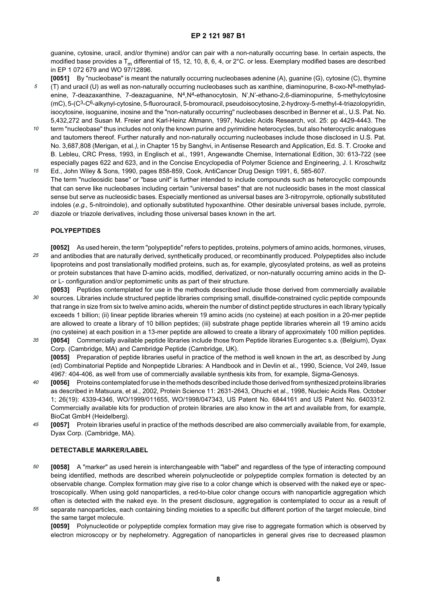guanine, cytosine, uracil, and/or thymine) and/or can pair with a non-naturally occurring base. In certain aspects, the modified base provides a  $T_m$  differential of 15, 12, 10, 8, 6, 4, or 2°C. or less. Exemplary modified bases are described in EP 1 072 679 and WO 97/12896.

**[0051]** By "nucleobase" is meant the naturally occurring nucleobases adenine (A), guanine (G), cytosine (C), thymine

- 5 (T) and uracil (U) as well as non-naturally occurring nucleobases such as xanthine, diaminopurine, 8-oxo-N<sup>6</sup>-methyladenine, 7-deazaxanthine, 7-deazaguanine, N<sup>4</sup>,N<sup>4</sup>-ethanocytosin, N',N'-ethano-2,6-diaminopurine, 5-methylcytosine (mC), 5-(C<sup>3</sup>-C<sup>6</sup>-alkynyl-cytosine, 5-fluorouracil, 5-bromouracil, pseudoisocytosine, 2-hydroxy-5-methyl-4-triazolopyridin, isocytosine, isoguanine, inosine and the "non-naturally occurring" nucleobases described in Benner et al., U.S. Pat. No. 5,432,272 and Susan M. Freier and Karl-Heinz Altmann, 1997, Nucleic Acids Research, vol. 25: pp 4429-4443. The
- 10 term "nucleobase" thus includes not only the known purine and pyrimidine heterocycles, but also heterocyclic analogues and tautomers thereof. Further naturally and non-naturally occurring nucleobases include those disclosed in U.S. Pat. No. 3,687,808 (Merigan, et al.), in Chapter 15 by Sanghvi, in Antisense Research and Application, Ed. S. T. Crooke and B. Lebleu, CRC Press, 1993, in Englisch et al., 1991, Angewandte Chemise, International Edition, 30: 613-722 (see especially pages 622 and 623, and in the Concise Encyclopedia of Polymer Science and Engineering, J. I. Kroschwitz
- 15 Ed., John Wiley & Sons, 1990, pages 858-859, Cook, AntiCancer Drug Design 1991, 6, 585-607. The term "nucleosidic base" or "base unit" is further intended to include compounds such as heterocyclic compounds that can serve like nucleobases including certain "universal bases" that are not nucleosidic bases in the most classical sense but serve as nucleosidic bases. Especially mentioned as universal bases are 3-nitropyrrole, optionally substituted indoles (e.g., 5-nitroindole), and optionally substituted hypoxanthine. Other desirable universal bases include, pyrrole,
- 20 diazole or triazole derivatives, including those universal bases known in the art.

#### **POLYPEPTIDES**

- 25 **[0052]** As used herein, the term "polypeptide" refers to peptides, proteins, polymers of amino acids, hormones, viruses, and antibodies that are naturally derived, synthetically produced, or recombinantly produced. Polypeptides also include lipoproteins and post translationally modified proteins, such as, for example, glycosylated proteins, as well as proteins or protein substances that have D-amino acids, modified, derivatized, or non-naturally occurring amino acids in the Dor L- configuration and/or peptomimetic units as part of their structure.
- 30 **[0053]** Peptides contemplated for use in the methods described include those derived from commercially available sources. Libraries include structured peptide libraries comprising small, disulfide-constrained cyclic peptide compounds that range in size from six to twelve amino acids, wherein the number of distinct peptide structures in each library typically exceeds 1 billion; (ii) linear peptide libraries wherein 19 amino acids (no cysteine) at each position in a 20-mer peptide are allowed to create a library of 10 billion peptides; (iii) substrate phage peptide libraries wherein all 19 amino acids (no cysteine) at each position in a 13-mer peptide are allowed to create a library of approximately 100 million peptides.
- 35 **[0054]** Commercially available peptide libraries include those from Peptide libraries Eurogentec s.a. (Belgium), Dyax Corp. (Cambridge, MA) and Cambridge Peptide (Cambridge, UK). **[0055]** Preparation of peptide libraries useful in practice of the method is well known in the art, as described by Jung (ed) Combinatorial Peptide and Nonpeptide Libraries: A Handbook and in Devlin et al., 1990, Science, Vol 249, Issue 4967: 404-406, as well from use of commercially available synthesis kits from, for example, Sigma-Genosys.
- $40$ **[0056]** Proteins contemplated for use in the methods described include those derived from synthesized proteins libraries as described in Matsuura, et al., 2002, Protein Science 11: 2631-2643, Ohuchi et al., 1998, Nucleic Acids Res. October 1; 26(19): 4339-4346, WO/1999/011655, WO/1998/047343, US Patent No. 6844161 and US Patent No. 6403312. Commercially available kits for production of protein libraries are also know in the art and available from, for example, BioCat GmbH (Heidelberg).
- 45 **[0057]** Protein libraries useful in practice of the methods described are also commercially available from, for example, Dyax Corp. (Cambridge, MA).

#### **DETECTABLE MARKER/LABEL**

- 50 **[0058]** A "marker" as used herein is interchangeable with "label" and regardless of the type of interacting compound being identified, methods are described wherein polynucleotide or polypeptide complex formation is detected by an observable change. Complex formation may give rise to a color change which is observed with the naked eye or spectroscopically. When using gold nanoparticles, a red-to-blue color change occurs with nanoparticle aggregation which often is detected with the naked eye. In the present disclosure, aggregation is contemplated to occur as a result of
- 55 separate nanoparticles, each containing binding moieties to a specific but different portion of the target molecule, bind the same target molecule.

**[0059]** Polynucleotide or polypeptide complex formation may give rise to aggregate formation which is observed by electron microscopy or by nephelometry. Aggregation of nanoparticles in general gives rise to decreased plasmon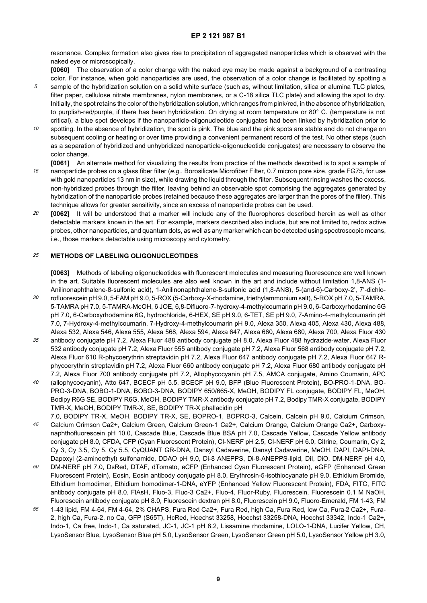resonance. Complex formation also gives rise to precipitation of aggregated nanoparticles which is observed with the naked eye or microscopically.

**[0060]** The observation of a color change with the naked eye may be made against a background of a contrasting color. For instance, when gold nanoparticles are used, the observation of a color change is facilitated by spotting a

- 5 sample of the hybridization solution on a solid white surface (such as, without limitation, silica or alumina TLC plates, filter paper, cellulose nitrate membranes, nylon membranes, or a C-18 silica TLC plate) and allowing the spot to dry. Initially, the spot retains the color of the hybridization solution, which ranges from pink/red, in the absence of hybridization, to purplish-red/purple, if there has been hybridization. On drying at room temperature or 80° C. (temperature is not critical), a blue spot develops if the nanoparticle-oligonucleotide conjugates had been linked by hybridization prior to
- 10 spotting. In the absence of hybridization, the spot is pink. The blue and the pink spots are stable and do not change on subsequent cooling or heating or over time providing a convenient permanent record of the test. No other steps (such as a separation of hybridized and unhybridized nanoparticle-oligonucleotide conjugates) are necessary to observe the color change.
- 15 **[0061]** An alternate method for visualizing the results from practice of the methods described is to spot a sample of nanoparticle probes on a glass fiber filter (e.g., Borosilicate Microfiber Filter, 0.7 micron pore size, grade FG75, for use with gold nanoparticles 13 nm in size), while drawing the liquid through the filter. Subsequent rinsing washes the excess, non-hybridized probes through the filter, leaving behind an observable spot comprising the aggregates generated by hybridization of the nanoparticle probes (retained because these aggregates are larger than the pores of the filter). This technique allows for greater sensitivity, since an excess of nanoparticle probes can be used.
- 20 **[0062]** It will be understood that a marker will include any of the fluorophores described herein as well as other detectable markers known in the art. For example, markers described also include, but are not limited to, redox active probes, other nanoparticles, and quantum dots, as well as any marker which can be detected using spectroscopic means, i.e., those markers detactable using microscopy and cytometry.

#### 25 **METHODS OF LABELING OLIGONUCLEOTIDES**

**[0063]** Methods of labeling oligonucleotides with fluorescent molecules and measuring fluorescence are well known in the art. Suitable fluorescent molecules are also well known in the art and include without limitation 1,8-ANS (1- Anilinonaphthalene-8-sulfonic acid), 1-Anilinonaphthalene-8-sulfonic acid (1,8-ANS), 5-(and-6)-Carboxy-2', 7'-dichlorofluorescein pH 9.0, 5-FAM pH 9.0, 5-ROX (5-Carboxy-X-rhodamine, triethylammonium salt), 5-ROX pH 7.0, 5-TAMRA,

- 30 5-TAMRA pH 7.0, 5-TAMRA-MeOH, 6 JOE, 6,8-Difluoro-7-hydroxy-4-methylcoumarin pH 9.0, 6-Carboxyrhodamine 6G pH 7.0, 6-Carboxyrhodamine 6G, hydrochloride, 6-HEX, SE pH 9.0, 6-TET, SE pH 9.0, 7-Amino-4-methylcoumarin pH 7.0, 7-Hydroxy-4-methylcoumarin, 7-Hydroxy-4-methylcoumarin pH 9.0, Alexa 350, Alexa 405, Alexa 430, Alexa 488, Alexa 532, Alexa 546, Alexa 555, Alexa 568, Alexa 594, Alexa 647, Alexa 660, Alexa 680, Alexa 700, Alexa Fluor 430
- 35 antibody conjugate pH 7.2, Alexa Fluor 488 antibody conjugate pH 8.0, Alexa Fluor 488 hydrazide-water, Alexa Fluor 532 antibody conjugate pH 7.2, Alexa Fluor 555 antibody conjugate pH 7.2, Alexa Fluor 568 antibody conjugate pH 7.2, Alexa Fluor 610 R-phycoerythrin streptavidin pH 7.2, Alexa Fluor 647 antibody conjugate pH 7.2, Alexa Fluor 647 Rphycoerythrin streptavidin pH 7.2, Alexa Fluor 660 antibody conjugate pH 7.2, Alexa Fluor 680 antibody conjugate pH 7.2, Alexa Fluor 700 antibody conjugate pH 7.2, Allophycocyanin pH 7.5, AMCA conjugate, Amino Coumarin, APC
- $40$ (allophycocyanin), Atto 647, BCECF pH 5.5, BCECF pH 9.0, BFP (Blue Fluorescent Protein), BO-PRO-1-DNA, BO-PRO-3-DNA, BOBO-1-DNA, BOBO-3-DNA, BODIPY 650/665-X, MeOH, BODIPY FL conjugate, BODIPY FL, MeOH, Bodipy R6G SE, BODIPY R6G, MeOH, BODIPY TMR-X antibody conjugate pH 7.2, Bodipy TMR-X conjugate, BODIPY TMR-X, MeOH, BODIPY TMR-X, SE, BODIPY TR-X phallacidin pH
- 45 7.0, BODIPY TR-X, MeOH, BODIPY TR-X, SE, BOPRO-1, BOPRO-3, Calcein, Calcein pH 9.0, Calcium Crimson, Calcium Crimson Ca2+, Calcium Green, Calcium Green-1 Ca2+, Calcium Orange, Calcium Orange Ca2+, Carboxynaphthofluorescein pH 10.0, Cascade Blue, Cascade Blue BSA pH 7.0, Cascade Yellow, Cascade Yellow antibody conjugate pH 8.0, CFDA, CFP (Cyan Fluorescent Protein), CI-NERF pH 2.5, CI-NERF pH 6.0, Citrine, Coumarin, Cy 2, Cy 3, Cy 3.5, Cy 5, Cy 5.5, CyQUANT GR-DNA, Dansyl Cadaverine, Dansyl Cadaverine, MeOH, DAPI, DAPI-DNA, Dapoxyl (2-aminoethyl) sulfonamide, DDAO pH 9.0, Di-8 ANEPPS, Di-8-ANEPPS-lipid, DiI, DiO, DM-NERF pH 4.0,
- 50 DM-NERF pH 7.0, DsRed, DTAF, dTomato, eCFP (Enhanced Cyan Fluorescent Protein), eGFP (Enhanced Green Fluorescent Protein), Eosin, Eosin antibody conjugate pH 8.0, Erythrosin-5-isothiocyanate pH 9.0, Ethidium Bromide, Ethidium homodimer, Ethidium homodimer-1-DNA, eYFP (Enhanced Yellow Fluorescent Protein), FDA, FITC, FITC antibody conjugate pH 8.0, FlAsH, Fluo-3, Fluo-3 Ca2+, Fluo-4, Fluor-Ruby, Fluorescein, Fluorescein 0.1 M NaOH, Fluorescein antibody conjugate pH 8.0, Fluorescein dextran pH 8.0, Fluorescein pH 9.0, Fluoro-Emerald, FM 1-43, FM
- 55 1-43 lipid, FM 4-64, FM 4-64, 2% CHAPS, Fura Red Ca2+, Fura Red, high Ca, Fura Red, low Ca, Fura-2 Ca2+, Fura-2, high Ca, Fura-2, no Ca, GFP (S65T), HcRed, Hoechst 33258, Hoechst 33258-DNA, Hoechst 33342, Indo-1 Ca2+, Indo-1, Ca free, Indo-1, Ca saturated, JC-1, JC-1 pH 8.2, Lissamine rhodamine, LOLO-1-DNA, Lucifer Yellow, CH, LysoSensor Blue, LysoSensor Blue pH 5.0, LysoSensor Green, LysoSensor Green pH 5.0, LysoSensor Yellow pH 3.0,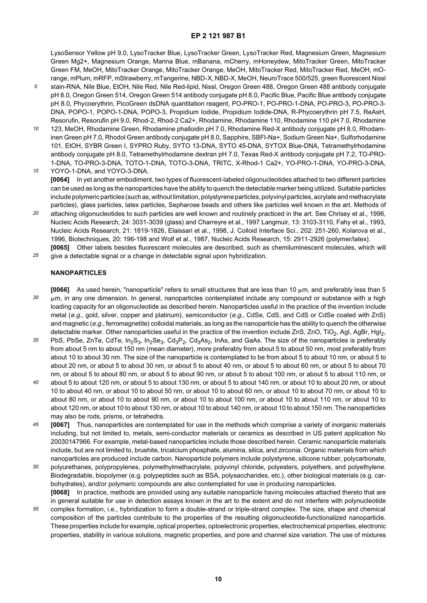LysoSensor Yellow pH 9.0, LysoTracker Blue, LysoTracker Green, LysoTracker Red, Magnesium Green, Magnesium Green Mg2+, Magnesium Orange, Marina Blue, mBanana, mCherry, mHoneydew, MitoTracker Green, MitoTracker Green FM, MeOH, MitoTracker Orange, MitoTracker Orange, MeOH, MitoTracker Red, MitoTracker Red, MeOH, mOrange, mPlum, mRFP, mStrawberry, mTangerine, NBD-X, NBD-X, MeOH, NeuroTrace 500/525, green fluorescent Nissl

- 5 stain-RNA, Nile Blue, EtOH, Nile Red, Nile Red-lipid, Nissl, Oregon Green 488, Oregon Green 488 antibody conjugate pH 8.0, Oregon Green 514, Oregon Green 514 antibody conjugate pH 8.0, Pacific Blue, Pacific Blue antibody conjugate pH 8.0, Phycoerythrin, PicoGreen dsDNA quantitation reagent, PO-PRO-1, PO-PRO-1-DNA, PO-PRO-3, PO-PRO-3- DNA, POPO-1, POPO-1-DNA, POPO-3, Propidium Iodide, Propidium Iodide-DNA, R-Phycoerythrin pH 7.5, ReAsH, Resorufin, Resorufin pH 9.0, Rhod-2, Rhod-2 Ca2+, Rhodamine, Rhodamine 110, Rhodamine 110 pH 7.0, Rhodamine
- 10 123, MeOH, Rhodamine Green, Rhodamine phalloidin pH 7.0, Rhodamine Red-X antibody conjugate pH 8.0, Rhodaminen Green pH 7.0, Rhodol Green antibody conjugate pH 8.0, Sapphire, SBFI-Na+, Sodium Green Na+, Sulforhodamine 101, EtOH, SYBR Green I, SYPRO Ruby, SYTO 13-DNA, SYTO 45-DNA, SYTOX Blue-DNA, Tetramethylrhodamine antibody conjugate pH 8.0, Tetramethylrhodamine dextran pH 7.0, Texas Red-X antibody conjugate pH 7.2, TO-PRO-1-DNA, TO-PRO-3-DNA, TOTO-1-DNA, TOTO-3-DNA, TRITC, X-Rhod-1 Ca2+, YO-PRO-1-DNA, YO-PRO-3-DNA,

15 YOYO-1-DNA, and YOYO-3-DNA. **[0064]** In yet another embodiment, two types of fluorescent-labeled oligonucleotides attached to two different particles can be used as long as the nanoparticles have the ability to quench the detectable marker being utilized. Suitable particles include polymeric particles (such as, without limitation, polystyrene particles, polyvinyl particles, acrylate and methacrylate particles), glass particles, latex particles, Sepharose beads and others like particles well known in the art. Methods of

- 20 attaching oligonucleotides to such particles are well known and routinely practiced in the art. See Chrisey et al., 1996, Nucleic Acids Research, 24: 3031-3039 (glass) and Charreyre et al., 1997 Langmuir, 13: 3103-3110, Fahy et al., 1993, Nucleic Acids Research, 21: 1819-1826, Elaissari et al., 1998, J. Colloid Interface Sci., 202: 251-260, Kolarova et al., 1996, Biotechniques, 20: 196-198 and Wolf et al., 1987, Nucleic Acids Research, 15: 2911-2926 (polymer/latex). **[0065]** Other labels besides fluorescent molecules are described, such as chemiluminescent molecules, which will
- 25 give a detectable signal or a change in detectable signal upon hybridization.

#### **NANOPARTICLES**

- 30 **[0066]** As used herein, "nanoparticle" refers to small structures that are less than 10  $\mu$ m, and preferably less than 5  $\mu$ m, in any one dimension. In general, nanoparticles contemplated include any compound or substance with a high loading capacity for an oligonucleotide as described herein. Nanoparticles useful in the practice of the invention include metal (e.g., gold, silver, copper and platinum), semiconductor (e.g., CdSe, CdS, and CdS or CdSe coated with ZnS) and magnetic (e.g., ferromagnetite) colloidal materials, as long as the nanoparticle has the ability to quench the otherwise detectable marker. Other nanoparticles useful in the practice of the invention include ZnS, ZnO, TiO<sub>2</sub>, AgI, AgBr, HgI<sub>2</sub>,
- 35 PbS, PbSe, ZnTe, CdTe,  $In_2S_3$ ,  $In_2Se_3$ , Cd<sub>3</sub>P<sub>2</sub>, Cd<sub>3</sub>As<sub>2</sub>, InAs, and GaAs. The size of the nanoparticles is preferably from about 5 nm to about 150 nm (mean diameter), more preferably from about 5 to about 50 nm, most preferably from about 10 to about 30 nm. The size of the nanoparticle is contemplated to be from about 5 to about 10 nm, or about 5 to about 20 nm, or about 5 to about 30 nm, or about 5 to about 40 nm, or about 5 to about 60 nm, or about 5 to about 70 nm, or about 5 to about 80 nm, or about 5 to about 90 nm, or about 5 to about 100 nm, or about 5 to about 110 nm, or
- $40$ about 5 to about 120 nm, or about 5 to about 130 nm, or about 5 to about 140 nm, or about 10 to about 20 nm, or about 10 to about 40 nm, or about 10 to about 50 nm, or about 10 to about 60 nm, or about 10 to about 70 nm, or about 10 to about 80 nm, or about 10 to about 90 nm, or about 10 to about 100 nm, or about 10 to about 110 nm, or about 10 to about 120 nm, or about 10 to about 130 nm, or about 10 to about 140 nm, or about 10 to about 150 nm. The nanoparticles may also be rods, prisms, or tetrahedra.
- 45 **[0067]** Thus, nanoparticles are contemplated for use in the methods which comprise a variety of inorganic materials including, but not limited to, metals, semi-conductor materials or ceramics as described in US patent application No 20030147966. For example, metal-based nanoparticles include those described herein. Ceramic nanoparticle materials include, but are not limited to, brushite, tricalcium phosphate, alumina, silica, and zirconia. Organic materials from which nanoparticles are produced include carbon. Nanoparticle polymers include polystyrene, silicone rubber, polycarbonate,
- 50 polyurethanes, polypropylenes, polymethylmethacrylate, polyvinyl chloride, polyesters, polyethers, and polyethylene. Biodegradable, biopolymer (e.g. polypeptides such as BSA, polysaccharides, etc.), other biological materials (e.g. carbohydrates), and/or polymeric compounds are also contemplated for use in producing nanoparticles. **[0068]** In practice, methods are provided using any suitable nanoparticle having molecules attached thereto that are in general suitable for use in detection assays known in the art to the extent and do not interfere with polynucleotide
- 55 complex formation, i.e., hybridization to form a double-strand or triple-strand complex. The size, shape and chemical composition of the particles contribute to the properties of the resulting oligonucleotide-functionalized nanoparticle. These properties include for example, optical properties, optoelectronic properties, electrochemical properties, electronic properties, stability in various solutions, magnetic properties, and pore and channel size variation. The use of mixtures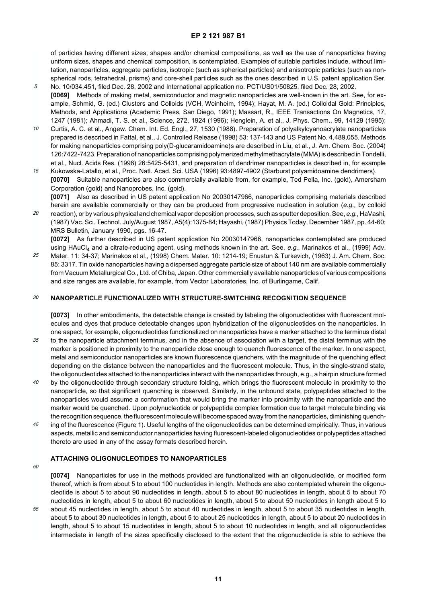of particles having different sizes, shapes and/or chemical compositions, as well as the use of nanoparticles having uniform sizes, shapes and chemical composition, is contemplated. Examples of suitable particles include, without limitation, nanoparticles, aggregate particles, isotropic (such as spherical particles) and anisotropic particles (such as nonspherical rods, tetrahedral, prisms) and core-shell particles such as the ones described in U.S. patent application Ser.

- 5 No. 10/034,451, filed Dec. 28, 2002 and International application no. PCT/US01/50825, filed Dec. 28, 2002. **[0069]** Methods of making metal, semiconductor and magnetic nanoparticles are well-known in the art. See, for example, Schmid, G. (ed.) Clusters and Colloids (VCH, Weinheim, 1994); Hayat, M. A. (ed.) Colloidal Gold: Principles, Methods, and Applications (Academic Press, San Diego, 1991); Massart, R., IEEE Transactions On Magnetics, 17, 1247 (1981); Ahmadi, T. S. et al., Science, 272, 1924 (1996); Henglein, A. et al., J. Phys. Chem., 99, 14129 (1995);
- 10 Curtis, A. C. et al., Angew. Chem. Int. Ed. Engl., 27, 1530 (1988). Preparation of polyalkylcyanoacrylate nanoparticles prepared is described in Fattal, et al., J. Controlled Release (1998) 53: 137-143 and US Patent No. 4,489,055. Methods for making nanoparticles comprising poly(D-glucaramidoamine)s are described in Liu, et al., J. Am. Chem. Soc. (2004) 126:7422-7423. Preparation of nanoparticles comprising polymerized methylmethacrylate (MMA) is described in Tondelli, et al., Nucl. Acids Res. (1998) 26:5425-5431, and preparation of dendrimer nanoparticles is described in, for example
- 15 Kukowska-Latallo, et al., Proc. Natl. Acad. Sci. USA (1996) 93:4897-4902 (Starburst polyamidoamine dendrimers). **[0070]** Suitable nanoparticles are also commercially available from, for example, Ted Pella, Inc. (gold), Amersham Corporation (gold) and Nanoprobes, Inc. (gold).

**[0071]** Also as described in US patent application No 20030147966, nanoparticles comprising materials described herein are available commercially or they can be produced from progressive nucleation in solution (e.g., by colloid

20 reaction), or by various physical and chemical vapor deposition processes, such as sputter deposition. See, e.g., HaVashi, (1987) Vac. Sci. Technol. July/August 1987, A5(4):1375-84; Hayashi, (1987) Physics Today, December 1987, pp. 44-60; MRS Bulletin, January 1990, pgs. 16-47.

**[0072]** As further described in US patent application No 20030147966, nanoparticles contemplated are produced using HAuCl<sub>4</sub> and a citrate-reducing agent, using methods known in the art. See, e.g., Marinakos et al., (1999) Adv.

25 Mater. 11: 34-37; Marinakos et al., (1998) Chem. Mater. 10: 1214-19; Enustun & Turkevich, (1963) J. Am. Chem. Soc. 85: 3317. Tin oxide nanoparticles having a dispersed aggregate particle size of about 140 nm are available commercially from Vacuum Metallurgical Co., Ltd. of Chiba, Japan. Other commercially available nanoparticles of various compositions and size ranges are available, for example, from Vector Laboratories, Inc. of Burlingame, Calif.

#### 30 **NANOPARTICLE FUNCTIONALIZED WITH STRUCTURE-SWITCHING RECOGNITION SEQUENCE**

**[0073]** In other embodiments, the detectable change is created by labeling the oligonucleotides with fluorescent molecules and dyes that produce detectable changes upon hybridization of the oligonucleotides on the nanoparticles. In one aspect, for example, oligonucleotides functionalized on nanoparticles have a marker attached to the terminus distal

- 35 to the nanoparticle attachment terminus, and in the absence of association with a target, the distal terminus with the marker is positioned in proximity to the nanoparticle close enough to quench fluorescence of the marker. In one aspect, metal and semiconductor nanoparticles are known fluorescence quenchers, with the magnitude of the quenching effect depending on the distance between the nanoparticles and the fluorescent molecule. Thus, in the single-strand state, the oligonucleotides attached to the nanoparticles interact with the nanoparticles through, e.g., a hairpin structure formed
- $40$ by the oligonucleotide through secondary structure folding, which brings the fluorescent molecule in proximity to the nanoparticle, so that significant quenching is observed. Similarly, in the unbound state, polypeptides attached to the nanoparticles would assume a conformation that would bring the marker into proximity with the nanoparticle and the marker would be quenched. Upon polynucleotide or polypeptide complex formation due to target molecule binding via the recognition sequence, the fluorescent molecule will become spaced away from the nanoparticles, diminishing quench-
- 45 ing of the fluorescence (Figure 1). Useful lengths of the oligonucleotides can be determined empirically. Thus, in various aspects, metallic and semiconductor nanoparticles having fluorescent-labeled oligonucleotides or polypeptides attached thereto are used in any of the assay formats described herein.

### **ATTACHING OLIGONUCLEOTIDES TO NANOPARTICLES**

50

**[0074]** Nanoparticles for use in the methods provided are functionalized with an oligonucleotide, or modified form thereof, which is from about 5 to about 100 nucleotides in length. Methods are also contemplated wherein the oligonucleotide is about 5 to about 90 nucleotides in length, about 5 to about 80 nucleotides in length, about 5 to about 70 nucleotides in length, about 5 to about 60 nucleotides in length, about 5 to about 50 nucleotides in length about 5 to about 45 nucleotides in length, about 5 to about 40 nucleotides in length, about 5 to about 35 nucleotides in length, about 5 to about 30 nucleotides in length, about 5 to about 25 nucleotides in length, about 5 to about 20 nucleotides in length, about 5 to about 15 nucleotides in length, about 5 to about 10 nucleotides in length, and all oligonucleotides intermediate in length of the sizes specifically disclosed to the extent that the oligonucleotide is able to achieve the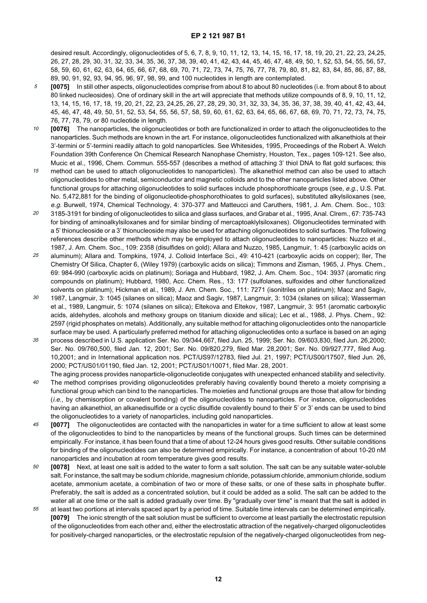desired result. Accordingly, oligonucleotides of 5, 6, 7, 8, 9, 10, 11, 12, 13, 14, 15, 16, 17, 18, 19, 20, 21, 22, 23, 24,25, 26, 27, 28, 29, 30, 31, 32, 33, 34, 35, 36, 37, 38, 39, 40, 41, 42, 43, 44, 45, 46, 47, 48, 49, 50, 1, 52, 53, 54, 55, 56, 57, 58, 59, 60, 61, 62, 63, 64, 65, 66, 67, 68, 69, 70, 71, 72, 73, 74, 75, 76, 77, 78, 79, 80, 81, 82, 83, 84, 85, 86, 87, 88, 89, 90, 91, 92, 93, 94, 95, 96, 97, 98, 99, and 100 nucleotides in length are contemplated.

- 5 **[0075]** In still other aspects, oligonucleotides comprise from about 8 to about 80 nucleotides (i.e. from about 8 to about 80 linked nucleosides). One of ordinary skill in the art will appreciate that methods utilize compounds of 8, 9, 10, 11, 12, 13, 14, 15, 16, 17, 18, 19, 20, 21, 22, 23, 24,25, 26, 27, 28, 29, 30, 31, 32, 33, 34, 35, 36, 37, 38, 39, 40, 41, 42, 43, 44, 45, 46, 47, 48, 49, 50, 51, 52, 53, 54, 55, 56, 57, 58, 59, 60, 61, 62, 63, 64, 65, 66, 67, 68, 69, 70, 71, 72, 73, 74, 75, 76, 77, 78, 79, or 80 nucleotide in length.
- 10 **[0076]** The nanoparticles, the oligonucleotides or both are functionalized in order to attach the oligonucleotides to the nanoparticles. Such methods are known in the art. For instance, oligonucleotides functionalized with alkanethiols at their 3'-termini or 5'-termini readily attach to gold nanoparticles. See Whitesides, 1995, Proceedings of the Robert A. Welch Foundation 39th Conference On Chemical Research Nanophase Chemistry, Houston, Tex., pages 109-121. See also, Mucic et al., 1996, Chem. Commun. 555-557 (describes a method of attaching 3' thiol DNA to flat gold surfaces; this
- 15 method can be used to attach oligonucleotides to nanoparticles). The alkanethiol method can also be used to attach oligonucleotides to other metal, semiconductor and magnetic colloids and to the other nanoparticles listed above. Other functional groups for attaching oligonucleotides to solid surfaces include phosphorothioate groups (see, e.g., U.S. Pat. No. 5,472,881 for the binding of oligonucleotide-phosphorothioates to gold surfaces), substituted alkylsiloxanes (see, e.g. Burwell, 1974, Chemical Technology, 4: 370-377 and Matteucci and Caruthers, 1981, J. Am. Chem. Soc., 103:
- 20 3185-3191 for binding of oligonucleotides to silica and glass surfaces, and Grabar et al., 1995, Anal. Clrem., 67: 735-743 for binding of aminoalkylsiloxanes and for similar binding of mercaptoaklylsiloxanes). Oligonucleotides terminated with a 5' thionucleoside or a 3' thionucleoside may also be used for attaching oligonucleotides to solid surfaces. The following references describe other methods which may be employed to attach oligonucleotides to nanoparticles: Nuzzo et al., 1987, J. Am. Chem. Soc., 109: 2358 (disulfides on gold); Allara and Nuzzo, 1985, Langmuir, 1: 45 (carboxylic acids on
- 25 aluminum); Allara and. Tompkins, 1974, J. Colloid Interface Sci., 49: 410-421 (carboxylic acids on copper); Iler, The Chemistry Of Silica, Chapter 6, (Wiley 1979) (carboxylic acids on silica); Timmons and Zisman, 1965, J. Phys. Chem., 69: 984-990 (carboxylic acids on platinum); Soriaga and Hubbard, 1982, J. Am. Chem. Soc., 104: 3937 (aromatic ring compounds on platinum); Hubbard, 1980, Acc. Chem. Res., 13: 177 (sulfolanes, sulfoxides and other functionalized solvents on platinum); Hickman et al., 1989, J. Am. Chem. Soc., 111: 7271 (isonitriles on platinum); Maoz and Sagiv,
- 30 1987, Langmuir, 3: 1045 (silanes on silica); Maoz and Sagiv, 1987, Langmuir, 3: 1034 (silanes on silica); Wasserman et al., 1989, Langmuir, 5: 1074 (silanes on silica); Eltekova and Eltekov, 1987, Langmuir, 3: 951 (aromatic carboxylic acids, aldehydes, alcohols and methoxy groups on titanium dioxide and silica); Lec et al., 1988, J. Phys. Chem., 92: 2597 (rigid phosphates on metals). Additionally, any suitable method for attaching oligonucleotides onto the nanoparticle surface may be used. A particularly preferred method for attaching oligonucleotides onto a surface is based on an aging
- 35 process described in U.S. application Ser. No. 09/344,667, filed Jun. 25, 1999; Ser. No. 09/603,830, filed Jun. 26,2000; Ser. No. 09/760,500, filed Jan. 12, 2001; Ser. No. 09/820,279, filed Mar. 28,2001; Ser. No. 09/927,777, filed Aug. 10,2001; and in International application nos. PCT/US97/12783, filed Jul. 21, 1997; PCT/US00/17507, filed Jun. 26, 2000; PCT/US01/01190, filed Jan. 12, 2001; PCT/US01/10071, filed Mar. 28, 2001.
- $40$ The aging process provides nanoparticle-oligonucleotide conjugates with unexpected enhanced stability and selectivity. The method comprises providing oligonucleotides preferably having covalently bound thereto a moiety comprising a functional group which can bind to the nanoparticles. The moieties and functional groups are those that allow for binding (i.e., by chemisorption or covalent bonding) of the oligonucleotides to nanoparticles. For instance, oligonucleotides having an alkanethiol, an alkanedisulfide or a cyclic disulfide covalently bound to their 5' or 3' ends can be used to bind the oligonucleotides to a variety of nanoparticles, including gold nanoparticles.
- 45 **[0077]** The oligonucleotides are contacted with the nanoparticles in water for a time sufficient to allow at least some of the oligonucleotides to bind to the nanoparticles by means of the functional groups. Such times can be determined empirically. For instance, it has been found that a time of about 12-24 hours gives good results. Other suitable conditions for binding of the oligonucleotides can also be determined empirically. For instance, a concentration of about 10-20 nM nanoparticles and incubation at room temperature gives good results.
- 50 **[0078]** Next, at least one salt is added to the water to form a salt solution. The salt can be any suitable water-soluble salt. For instance, the salt may be sodium chloride, magnesium chloride, potassium chloride, ammonium chloride, sodium acetate, ammonium acetate, a combination of two or more of these salts, or one of these salts in phosphate buffer. Preferably, the salt is added as a concentrated solution, but it could be added as a solid. The salt can be added to the water all at one time or the salt is added gradually over time. By "gradually over time" is meant that the salt is added in
- 55 at least two portions at intervals spaced apart by a period of time. Suitable time intervals can be determined empirically. **[0079]** The ionic strength of the salt solution must be sufficient to overcome at least partially the electrostatic repulsion of the oligonucleotides from each other and, either the electrostatic attraction of the negatively-charged oligonucleotides for positively-charged nanoparticles, or the electrostatic repulsion of the negatively-charged oligonucleotides from neg-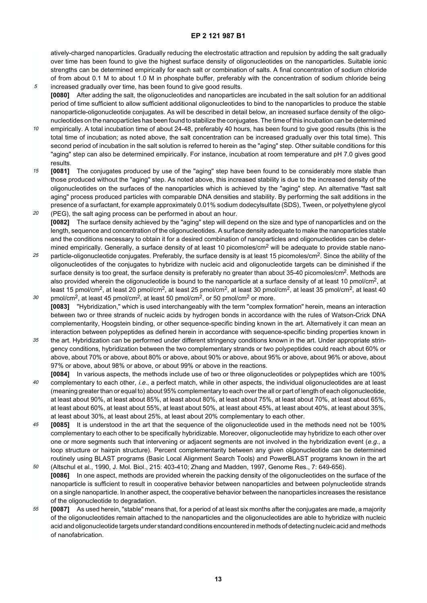atively-charged nanoparticles. Gradually reducing the electrostatic attraction and repulsion by adding the salt gradually over time has been found to give the highest surface density of oligonucleotides on the nanoparticles. Suitable ionic strengths can be determined empirically for each salt or combination of salts. A final concentration of sodium chloride of from about 0.1 M to about 1.0 M in phosphate buffer, preferably with the concentration of sodium chloride being

- 5 increased gradually over time, has been found to give good results. **[0080]** After adding the salt, the oligonucleotides and nanoparticles are incubated in the salt solution for an additional period of time sufficient to allow sufficient additional oligonucleotides to bind to the nanoparticles to produce the stable nanoparticle-oligonucleotide conjugates. As will be described in detail below, an increased surface density of the oligonucleotides on the nanoparticles has been found to stabilize the conjugates. The time of this incubation can be determined
- 10 empirically. A total incubation time of about 24-48, preferably 40 hours, has been found to give good results (this is the total time of incubation; as noted above, the salt concentration can be increased gradually over this total time). This second period of incubation in the salt solution is referred to herein as the "aging" step. Other suitable conditions for this "aging" step can also be determined empirically. For instance, incubation at room temperature and pH 7.0 gives good results.
- 15 20 **[0081]** The conjugates produced by use of the "aging" step have been found to be considerably more stable than those produced without the "aging" step. As noted above, this increased stability is due to the increased density of the oligonucleotides on the surfaces of the nanoparticles which is achieved by the "aging" step. An alternative "fast salt aging" process produced particles with comparable DNA densities and stability. By performing the salt additions in the presence of a surfactant, for example approximately 0.01% sodium dodecylsulfate (SDS), Tween, or polyethylene glycol
- (PEG), the salt aging process can be performed in about an hour. **[0082]** The surface density achieved by the "aging" step will depend on the size and type of nanoparticles and on the length, sequence and concentration of the oligonucleotides. A surface density adequate to make the nanoparticles stable and the conditions necessary to obtain it for a desired combination of nanoparticles and oligonucleotides can be determined empirically. Generally, a surface density of at least 10 picomoles/cm<sup>2</sup> will be adequate to provide stable nano-
- 25 particle-oligonucleotide conjugates. Preferably, the surface density is at least 15 picomoles/cm<sup>2</sup>. Since the ability of the oligonucleotides of the conjugates to hybridize with nucleic acid and oligonucleotide targets can be diminished if the surface density is too great, the surface density is preferably no greater than about 35-40 picomoles/cm<sup>2</sup>. Methods are also provided wherein the oligonucleotide is bound to the nanoparticle at a surface density of at least 10 pmol/cm<sup>2</sup>, at least 15 pmol/cm<sup>2</sup>, at least 20 pmol/cm<sup>2</sup>, at least 25 pmol/cm<sup>2</sup>, at least 30 pmol/cm<sup>2</sup>, at least 35 pmol/cm<sup>2</sup>, at least 40
- 30 pmol/cm<sup>2</sup>, at least 45 pmol/cm<sup>2</sup>, at least 50 pmol/cm<sup>2</sup>, or 50 pmol/cm<sup>2</sup> or more. **[0083]** "Hybridization," which is used interchangeably with the term "complex formation" herein, means an interaction between two or three strands of nucleic acids by hydrogen bonds in accordance with the rules of Watson-Crick DNA complementarity, Hoogstein binding, or other sequence-specific binding known in the art. Alternatively it can mean an interaction between polypeptides as defined herein in accordance with sequence-specific binding properties known in
- 35 the art. Hybridization can be performed under different stringency conditions known in the art. Under appropriate stringency conditions, hybridization between the two complementary strands or two polypeptides could reach about 60% or above, about 70% or above, about 80% or above, about 90% or above, about 95% or above, about 96% or above, about 97% or above, about 98% or above, or about 99% or above in the reactions.
- $40$ **[0084]** In various aspects, the methods include use of two or three oligonucleotides or polypeptides which are 100% complementary to each other, i.e., a perfect match, while in other aspects, the individual oligonucleotides are at least (meaning greater than or equal to) about 95% complementary to each over the all or part of length of each oligonucleotide, at least about 90%, at least about 85%, at least about 80%, at least about 75%, at least about 70%, at least about 65%, at least about 60%, at least about 55%, at least about 50%, at least about 45%, at least about 40%, at least about 35%, at least about 30%, at least about 25%, at least about 20% complementary to each other.
- 45 50 **[0085]** It is understood in the art that the sequence of the oligonucleotide used in the methods need not be 100% complementary to each other to be specifically hybridizable. Moreover, oligonucleotide may hybridize to each other over one or more segments such that intervening or adjacent segments are not involved in the hybridization event (e.g., a loop structure or hairpin structure). Percent complementarity between any given oligonucleotide can be determined routinely using BLAST programs (Basic Local Alignment Search Tools) and PowerBLAST programs known in the art (Altschul et al., 1990, J. Mol. Biol., 215: 403-410; Zhang and Madden, 1997, Genome Res., 7: 649-656).
- **[0086]** In one aspect, methods are provided wherein the packing density of the oligonucleotides on the surface of the nanoparticle is sufficient to result in cooperative behavior between nanoparticles and between polynucleotide strands on a single nanoparticle. In another aspect, the cooperative behavior between the nanoparticles increases the resistance of the oligonucleotide to degradation.
- 55 **[0087]** As used herein, "stable" means that, for a period of at least six months after the conjugates are made, a majority of the oligonucleotides remain attached to the nanoparticles and the oligonucleotides are able to hybridize with nucleic acid and oligonucleotide targets under standard conditions encountered in methods of detecting nucleic acid and methods of nanofabrication.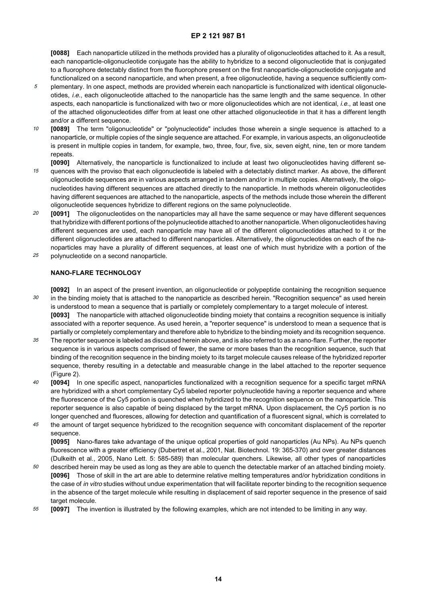**[0088]** Each nanoparticle utilized in the methods provided has a plurality of oligonucleotides attached to it. As a result, each nanoparticle-oligonucleotide conjugate has the ability to hybridize to a second oligonucleotide that is conjugated to a fluorophore detectably distinct from the fluorophore present on the first nanoparticle-oligonucleotide conjugate and functionalized on a second nanoparticle, and when present, a free oligonucleotide, having a sequence sufficiently com-

- 5 plementary. In one aspect, methods are provided wherein each nanoparticle is functionalized with identical oligonucleotides, i.e., each oligonucleotide attached to the nanoparticle has the same length and the same sequence. In other aspects, each nanoparticle is functionalized with two or more oligonucleotides which are not identical, i.e., at least one of the attached oligonucleotides differ from at least one other attached oligonucleotide in that it has a different length and/or a different sequence.
- 10 **[0089]** The term "oligonucleotide" or "polynucleotide" includes those wherein a single sequence is attached to a nanoparticle, or multiple copies of the single sequence are attached. For example, in various aspects, an oligonucleotide is present in multiple copies in tandem, for example, two, three, four, five, six, seven eight, nine, ten or more tandem **repeats**
- 15 **[0090]** Alternatively, the nanoparticle is functionalized to include at least two oligonucleotides having different sequences with the proviso that each oligonucleotide is labeled with a detectably distinct marker. As above, the different oligonucleotide sequences are in various aspects arranged in tandem and/or in multiple copies. Alternatively, the oligonucleotides having different sequences are attached directly to the nanoparticle. In methods wherein oligonucleotides having different sequences are attached to the nanoparticle, aspects of the methods include those wherein the different oligonucleotide sequences hybridize to different regions on the same polynucleotide.
- 20 25 **[0091]** The oligonucleotides on the nanoparticles may all have the same sequence or may have different sequences that hybridize with different portions of the polynucleotide attached to another nanoparticle. When oligonucleotides having different sequences are used, each nanoparticle may have all of the different oligonucleotides attached to it or the different oligonucleotides are attached to different nanoparticles. Alternatively, the oligonucleotides on each of the nanoparticles may have a plurality of different sequences, at least one of which must hybridize with a portion of the polynucleotide on a second nanoparticle.
- 

## **NANO-FLARE TECHNOLOGY**

- 30 **[0092]** In an aspect of the present invention, an oligonucleotide or polypeptide containing the recognition sequence in the binding moiety that is attached to the nanoparticle as described herein. "Recognition sequence" as used herein is understood to mean a sequence that is partially or completely complementary to a target molecule of interest. **[0093]** The nanoparticle with attached oligonucleotide binding moiety that contains a recognition sequence is initially
- associated with a reporter sequence. As used herein, a "reporter sequence" is understood to mean a sequence that is partially or completely complementary and therefore able to hybridize to the binding moiety and its recognition sequence.
- 35 The reporter sequence is labeled as discussed herein above, and is also referred to as a nano-flare. Further, the reporter sequence is in various aspects comprised of fewer, the same or more bases than the recognition sequence, such that binding of the recognition sequence in the binding moiety to its target molecule causes release of the hybridized reporter sequence, thereby resulting in a detectable and measurable change in the label attached to the reporter sequence (Figure 2).
- $40$ **[0094]** In one specific aspect, nanoparticles functionalized with a recognition sequence for a specific target mRNA are hybridized with a short complementary Cy5 labeled reporter polynucleotide having a reporter sequence and where the fluorescence of the Cy5 portion is quenched when hybridized to the recognition sequence on the nanoparticle. This reporter sequence is also capable of being displaced by the target mRNA. Upon displacement, the Cy5 portion is no longer quenched and fluoresces, allowing for detection and quantification of a fluorescent signal, which is correlated to
- 45 the amount of target sequence hybridized to the recognition sequence with concomitant displacement of the reporter sequence.

**[0095]** Nano-flares take advantage of the unique optical properties of gold nanoparticles (Au NPs). Au NPs quench fluorescence with a greater efficiency (Dubertret et al., 2001, Nat. Biotechnol. 19: 365-370) and over greater distances (Dulkeith et al., 2005, Nano Lett. 5: 585-589) than molecular quenchers. Likewise, all other types of nanoparticles

- 50 described herein may be used as long as they are able to quench the detectable marker of an attached binding moiety. **[0096]** Those of skill in the art are able to determine relative melting temperatures and/or hybridization conditions in the case of in vitro studies without undue experimentation that will facilitate reporter binding to the recognition sequence in the absence of the target molecule while resulting in displacement of said reporter sequence in the presence of said target molecule.
- 55 **[0097]** The invention is illustrated by the following examples, which are not intended to be limiting in any way.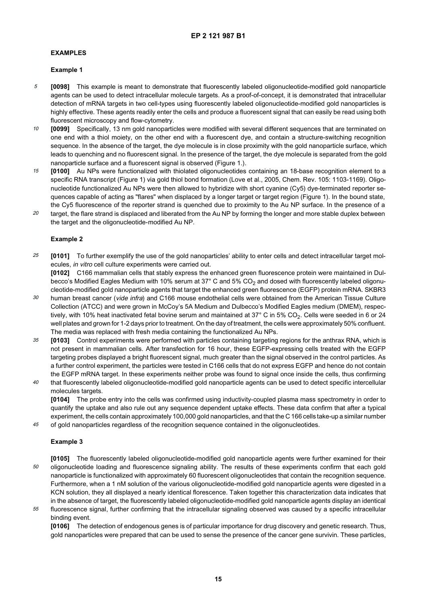#### **EXAMPLES**

## **Example 1**

- 5 **[0098]** This example is meant to demonstrate that fluorescently labeled oligonucleotide-modified gold nanoparticle agents can be used to detect intracellular molecule targets. As a proof-of-concept, it is demonstrated that intracellular detection of mRNA targets in two cell-types using fluorescently labeled oligonucleotide-modified gold nanoparticles is highly effective. These agents readily enter the cells and produce a fluorescent signal that can easily be read using both fluorescent microscopy and flow-cytometry.
- 10 **[0099]** Specifically, 13 nm gold nanoparticles were modified with several different sequences that are terminated on one end with a thiol moiety, on the other end with a fluorescent dye, and contain a structure-switching recognition sequence. In the absence of the target, the dye molecule is in close proximity with the gold nanoparticle surface, which leads to quenching and no fluorescent signal. In the presence of the target, the dye molecule is separated from the gold nanoparticle surface and a fluorescent signal is observed (Figure 1.).
- 15 **[0100]** Au NPs were functionalized with thiolated oligonucleotides containing an 18-base recognition element to a specific RNA transcript (Figure 1) via gold thiol bond formation (Love et al., 2005, Chem. Rev. 105: 1103-1169). Oligonucleotide functionalized Au NPs were then allowed to hybridize with short cyanine (Cy5) dye-terminated reporter sequences capable of acting as "flares" when displaced by a longer target or target region (Figure 1). In the bound state, the Cy5 fluorescence of the reporter strand is quenched due to proximity to the Au NP surface. In the presence of a
- 20 target, the flare strand is displaced and liberated from the Au NP by forming the longer and more stable duplex between the target and the oligonucleotide-modified Au NP.

#### **Example 2**

25 **[0101]** To further exemplify the use of the gold nanoparticles' ability to enter cells and detect intracellular target molecules, in vitro cell culture experiments were carried out.

**[0102]** C166 mammalian cells that stably express the enhanced green fluorescence protein were maintained in Dulbecco's Modified Eagles Medium with 10% serum at 37 $^{\circ}$  C and 5% CO<sub>2</sub> and dosed with fluorescently labeled oligonucleotide-modified gold nanoparticle agents that target the enhanced green fluorescence (EGFP) protein mRNA. SKBR3

- 30 human breast cancer (vide infra) and C166 mouse endothelial cells were obtained from the American Tissue Culture Collection (ATCC) and were grown in McCoy's 5A Medium and Dulbecco's Modified Eagles medium (DMEM), respectively, with 10% heat inactivated fetal bovine serum and maintained at 37° C in 5% CO<sub>2</sub>. Cells were seeded in 6 or 24 well plates and grown for 1-2 days prior to treatment. On the day of treatment, the cells were approximately 50% confluent. The media was replaced with fresh media containing the functionalized Au NPs.
- 35 **[0103]** Control experiments were performed with particles containing targeting regions for the anthrax RNA, which is not present in mammalian cells. After transfection for 16 hour, these EGFP-expressing cells treated with the EGFP targeting probes displayed a bright fluorescent signal, much greater than the signal observed in the control particles. As a further control experiment, the particles were tested in C166 cells that do not express EGFP and hence do not contain the EGFP mRNA target. In these experiments neither probe was found to signal once inside the cells, thus confirming
- $40$ that fluorescently labeled oligonucleotide-modified gold nanoparticle agents can be used to detect specific intercellular molecules targets.

**[0104]** The probe entry into the cells was confirmed using inductivity-coupled plasma mass spectrometry in order to quantify the uptake and also rule out any sequence dependent uptake effects. These data confirm that after a typical experiment, the cells contain approximately 100,000 gold nanoparticles, and that the C 166 cells take-up a similar number

45 of gold nanoparticles regardless of the recognition sequence contained in the oligonucleotides.

#### **Example 3**

- 50 **[0105]** The fluorescently labeled oligonucleotide-modified gold nanoparticle agents were further examined for their oligonucleotide loading and fluorescence signaling ability. The results of these experiments confirm that each gold nanoparticle is functionalized with approximately 60 fluorescent oligonucleotides that contain the recognition sequence. Furthermore, when a 1 nM solution of the various oligonucleotide-modified gold nanoparticle agents were digested in a KCN solution, they all displayed a nearly identical florescence. Taken together this characterization data indicates that in the absence of target, the fluorescently labeled oligonucleotide-modified gold nanoparticle agents display an identical
- 55 fluorescence signal, further confirming that the intracellular signaling observed was caused by a specific intracellular binding event.

**[0106]** The detection of endogenous genes is of particular importance for drug discovery and genetic research. Thus, gold nanoparticles were prepared that can be used to sense the presence of the cancer gene survivin. These particles,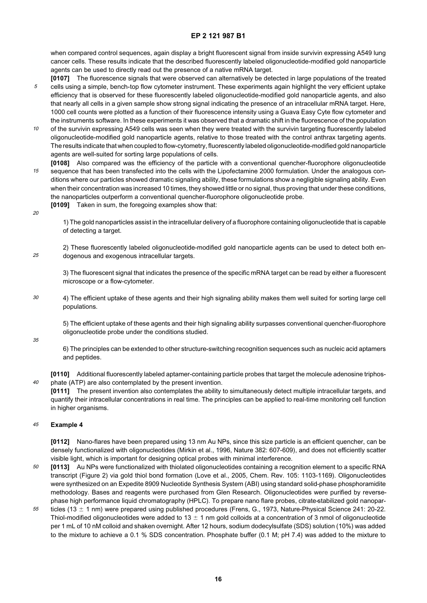when compared control sequences, again display a bright fluorescent signal from inside survivin expressing A549 lung cancer cells. These results indicate that the described fluorescently labeled oligonucleotide-modified gold nanoparticle agents can be used to directly read out the presence of a native mRNA target.

- 5 **[0107]** The fluorescence signals that were observed can alternatively be detected in large populations of the treated cells using a simple, bench-top flow cytometer instrument. These experiments again highlight the very efficient uptake efficiency that is observed for these fluorescently labeled oligonucleotide-modified gold nanoparticle agents, and also that nearly all cells in a given sample show strong signal indicating the presence of an intracellular mRNA target. Here, 1000 cell counts were plotted as a function of their fluorescence intensity using a Guava Easy Cyte flow cytometer and the instruments software. In these experiments it was observed that a dramatic shift in the fluorescence of the population
- 10 of the survivin expressing A549 cells was seen when they were treated with the survivin targeting fluorescently labeled oligonucleotide-modified gold nanoparticle agents, relative to those treated with the control anthrax targeting agents. The results indicate that when coupled to flow-cytometry, fluorescently labeled oligonucleotide-modified gold nanoparticle agents are well-suited for sorting large populations of cells.
- 15 **[0108]** Also compared was the efficiency of the particle with a conventional quencher-fluorophore oligonucleotide sequence that has been transfected into the cells with the Lipofectamine 2000 formulation. Under the analogous conditions where our particles showed dramatic signaling ability, these formulations show a negligible signaling ability. Even when their concentration was increased 10 times, they showed little or no signal, thus proving that under these conditions, the nanoparticles outperform a conventional quencher-fluorophore oligonucleotide probe.
	- **[0109]** Taken in sum, the foregoing examples show that:
- 20

1) The gold nanoparticles assist in the intracellular delivery of a fluorophore containing oligonucleotide that is capable of detecting a target.

25 2) These fluorescently labeled oligonucleotide-modified gold nanoparticle agents can be used to detect both endogenous and exogenous intracellular targets.

3) The fluorescent signal that indicates the presence of the specific mRNA target can be read by either a fluorescent microscope or a flow-cytometer.

30 4) The efficient uptake of these agents and their high signaling ability makes them well suited for sorting large cell populations.

5) The efficient uptake of these agents and their high signaling ability surpasses conventional quencher-fluorophore oligonucleotide probe under the conditions studied.

35

6) The principles can be extended to other structure-switching recognition sequences such as nucleic acid aptamers and peptides.

 $40$ **[0110]** Additional fluorescently labeled aptamer-containing particle probes that target the molecule adenosine triphosphate (ATP) are also contemplated by the present invention.

**[0111]** The present invention also contemplates the ability to simultaneously detect multiple intracellular targets, and quantify their intracellular concentrations in real time. The principles can be applied to real-time monitoring cell function in higher organisms.

#### 45 **Example 4**

**[0112]** Nano-flares have been prepared using 13 nm Au NPs, since this size particle is an efficient quencher, can be densely functionalized with oligonucleotides (Mirkin et al., 1996, Nature 382: 607-609), and does not efficiently scatter visible light, which is important for designing optical probes with minimal interference.

- 50 **[0113]** Au NPs were functionalized with thiolated oligonucleotides containing a recognition element to a specific RNA transcript (Figure 2) via gold thiol bond formation (Love et al., 2005, Chem. Rev. 105: 1103-1169). Oligonucleotides were synthesized on an Expedite 8909 Nucleotide Synthesis System (ABI) using standard solid-phase phosphoramidite methodology. Bases and reagents were purchased from Glen Research. Oligonucleotides were purified by reversephase high performance liquid chromatography (HPLC). To prepare nano flare probes, citrate-stabilized gold nanopar-
- 55 ticles (13  $\pm$  1 nm) were prepared using published procedures (Frens, G., 1973, Nature-Physical Science 241: 20-22. Thiol-modified oligonucleotides were added to 13  $\pm$  1 nm gold colloids at a concentration of 3 nmol of oligonucleotide per 1 mL of 10 nM colloid and shaken overnight. After 12 hours, sodium dodecylsulfate (SDS) solution (10%) was added to the mixture to achieve a 0.1 % SDS concentration. Phosphate buffer (0.1 M; pH 7.4) was added to the mixture to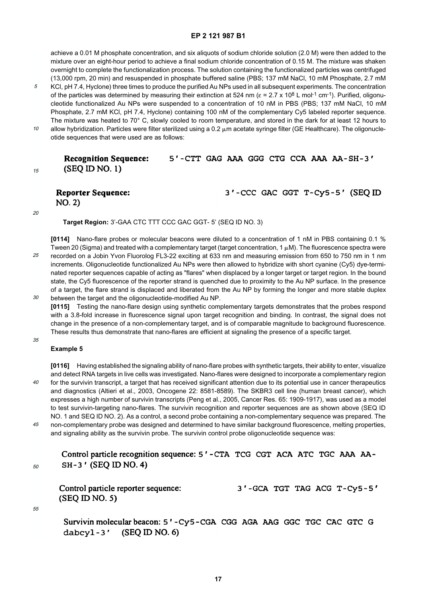achieve a 0.01 M phosphate concentration, and six aliquots of sodium chloride solution (2.0 M) were then added to the mixture over an eight-hour period to achieve a final sodium chloride concentration of 0.15 M. The mixture was shaken overnight to complete the functionalization process. The solution containing the functionalized particles was centrifuged (13,000 rpm, 20 min) and resuspended in phosphate buffered saline (PBS; 137 mM NaCl, 10 mM Phosphate, 2.7 mM

5 KCl, pH 7.4, Hyclone) three times to produce the purified Au NPs used in all subsequent experiments. The concentration of the particles was determined by measuring their extinction at 524 nm ( $\varepsilon = 2.7 \times 10^8$  L mol<sup>-1</sup> cm<sup>-1</sup>). Purified, oligonucleotide functionalized Au NPs were suspended to a concentration of 10 nM in PBS (PBS; 137 mM NaCl, 10 mM Phosphate, 2.7 mM KCl, pH 7.4, Hyclone) containing 100 nM of the complementary Cy5 labeled reporter sequence. The mixture was heated to 70° C, slowly cooled to room temperature, and stored in the dark for at least 12 hours to

10 allow hybridization. Particles were filter sterilized using a 0.2  $\mu$ m acetate syringe filter (GE Healthcare). The oligonucleotide sequences that were used are as follows:

#### **Recognition Sequence:** 5'-CTT GAG AAA GGG CTG CCA AAA AA-SH-3'  $(SEQ ID NO. 1)$

**Reporter Sequence:**  $NO. 2)$ 

3'-CCC GAC GGT T-Cy5-5' (SEQ ID

20

15

**Target Region:** 3'-GAA CTC TTT CCC GAC GGT- 5' (SEQ ID NO. 3)

25 30 **[0114]** Nano-flare probes or molecular beacons were diluted to a concentration of 1 nM in PBS containing 0.1 % Tween 20 (Sigma) and treated with a complementary target (target concentration, 1  $\mu$ M). The fluorescence spectra were recorded on a Jobin Yvon Fluorolog FL3-22 exciting at 633 nm and measuring emission from 650 to 750 nm in 1 nm increments. Oligonucleotide functionalized Au NPs were then allowed to hybridize with short cyanine (Cy5) dye-terminated reporter sequences capable of acting as "flares" when displaced by a longer target or target region. In the bound state, the Cy5 fluorescence of the reporter strand is quenched due to proximity to the Au NP surface. In the presence of a target, the flare strand is displaced and liberated from the Au NP by forming the longer and more stable duplex between the target and the oligonucleotide-modified Au NP.

**[0115]** Testing the nano-flare design using synthetic complementary targets demonstrates that the probes respond with a 3.8-fold increase in fluorescence signal upon target recognition and binding. In contrast, the signal does not change in the presence of a non-complementary target, and is of comparable magnitude to background fluorescence. These results thus demonstrate that nano-flares are efficient at signaling the presence of a specific target.

### **Example 5**

 $40$ 45 **[0116]** Having established the signaling ability of nano-flare probes with synthetic targets, their ability to enter, visualize and detect RNA targets in live cells was investigated. Nano-flares were designed to incorporate a complementary region for the survivin transcript, a target that has received significant attention due to its potential use in cancer therapeutics and diagnostics (Altieri et al., 2003, Oncogene 22: 8581-8589). The SKBR3 cell line (human breast cancer), which expresses a high number of survivin transcripts (Peng et al., 2005, Cancer Res. 65: 1909-1917), was used as a model to test survivin-targeting nano-flares. The survivin recognition and reporter sequences are as shown above (SEQ ID NO. 1 and SEQ ID NO. 2). As a control, a second probe containing a non-complementary sequence was prepared. The non-complementary probe was designed and determined to have similar background fluorescence, melting properties, and signaling ability as the survivin probe. The survivin control probe oligonucleotide sequence was:

50

35

Control particle recognition sequence: 5'-CTA TCG CGT ACA ATC TGC AAA AA-SH-3' (SEQ ID NO. 4)

| Control particle reporter sequence: |  |  | 3'-GCA TGT TAG ACG T-Cy5-5' |
|-------------------------------------|--|--|-----------------------------|
| $(SEQ \text{ ID NO. } 5)$           |  |  |                             |

55

Survivin molecular beacon: 5'-Cy5-CGA CGG AGA AAG GGC TGC CAC GTC G  $(SEQ$  ID NO. 6) dabcyl-3'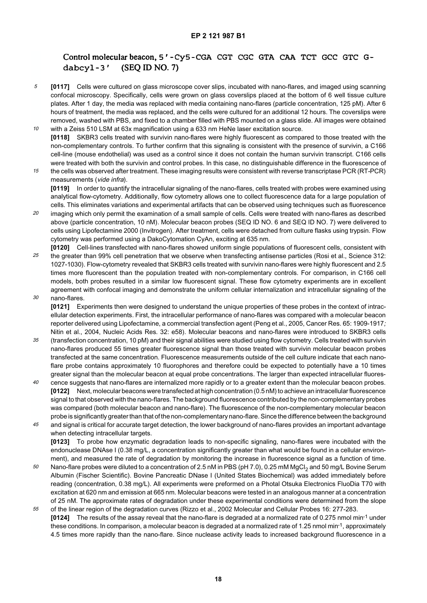#### Control molecular beacon, 5'-Cy5-CGA CGT CGC GTA CAA TCT GCC GTC Gdabcyl-3'  $(SEQIDNO.7)$

- 5 10 **[0117]** Cells were cultured on glass microscope cover slips, incubated with nano-flares, and imaged using scanning confocal microscopy. Specifically, cells were grown on glass coverslips placed at the bottom of 6 well tissue culture plates. After 1 day, the media was replaced with media containing nano-flares (particle concentration, 125 pM). After 6 hours of treatment, the media was replaced, and the cells were cultured for an additional 12 hours. The coverslips were removed, washed with PBS, and fixed to a chamber filled with PBS mounted on a glass slide. All images were obtained
- with a Zeiss 510 LSM at 63x magnification using a 633 nm HeNe laser excitation source. **[0118]** SKBR3 cells treated with survivin nano-flares were highly fluorescent as compared to those treated with the non-complementary controls. To further confirm that this signaling is consistent with the presence of survivin, a C166 cell-line (mouse endothelial) was used as a control since it does not contain the human survivin transcript. C166 cells were treated with both the survivin and control probes. In this case, no distinguishable difference in the fluorescence of
- 15 the cells was observed after treatment. These imaging results were consistent with reverse transcriptase PCR (RT-PCR) measurements (vide infra).

**[0119]** In order to quantify the intracellular signaling of the nano-flares, cells treated with probes were examined using analytical flow-cytometry. Additionally, flow cytometry allows one to collect fluorescence data for a large population of cells. This eliminates variations and experimental artifacts that can be observed using techniques such as fluorescence

- 20 imaging which only permit the examination of a small sample of cells. Cells were treated with nano-flares as described above (particle concentration, 10 nM). Molecular beacon probes (SEQ ID NO. 6 and SEQ ID NO. 7) were delivered to cells using Lipofectamine 2000 (Invitrogen). After treatment, cells were detached from culture flasks using trypsin. Flow cytometry was performed using a DakoCytomation CyAn, exciting at 635 nm.
- 25 30 **[0120]** Cell-lines transfected with nano-flares showed uniform single populations of fluorescent cells, consistent with the greater than 99% cell penetration that we observe when transfecting antisense particles (Rosi et al., Science 312: 1027-1030). Flow-cytometry revealed that SKBR3 cells treated with survivin nano-flares were highly fluorescent and 2.5 times more fluorescent than the population treated with non-complementary controls. For comparison, in C166 cell models, both probes resulted in a similar low fluorescent signal. These flow cytometry experiments are in excellent agreement with confocal imaging and demonstrate the uniform cellular internalization and intracellular signaling of the nano-flares.
- 

**[0121]** Experiments then were designed to understand the unique properties of these probes in the context of intracellular detection experiments. First, the intracellular performance of nano-flares was compared with a molecular beacon reporter delivered using Lipofectamine, a commercial transfection agent (Peng et al., 2005, Cancer Res. 65: 1909-1917; Nitin et al., 2004, Nucleic Acids Res. 32: e58). Molecular beacons and nano-flares were introduced to SKBR3 cells

- 35 (transfection concentration, 10 pM) and their signal abilities were studied using flow cytometry. Cells treated with survivin nano-flares produced 55 times greater fluorescence signal than those treated with survivin molecular beacon probes transfected at the same concentration. Fluorescence measurements outside of the cell culture indicate that each nanoflare probe contains approximately 10 fluorophores and therefore could be expected to potentially have a 10 times greater signal than the molecular beacon at equal probe concentrations. The larger than expected intracellular fluores-
- $40$ cence suggests that nano-flares are internalized more rapidly or to a greater extent than the molecular beacon probes. **[0122]** Next, molecular beacons were transfected at high concentration (0.5 nM) to achieve an intracellular fluorescence signal to that observed with the nano-flares. The background fluorescence contributed by the non-complementary probes was compared (both molecular beacon and nano-flare). The fluorescence of the non-complementary molecular beacon probe is significantly greater than that of the non-complementary nano-flare. Since the difference between the background

45 and signal is critical for accurate target detection, the lower background of nano-flares provides an important advantage when detecting intracellular targets. **[0123]** To probe how enzymatic degradation leads to non-specific signaling, nano-flares were incubated with the

endonuclease DNAse I (0.38 mg/L, a concentration significantly greater than what would be found in a cellular environment), and measured the rate of degradation by monitoring the increase in fluorescence signal as a function of time.

- 50 Nano-flare probes were diluted to a concentration of 2.5 nM in PBS (pH 7.0), 0.25 mM MgCl<sub>2</sub> and 50 mg/L Bovine Serum Albumin (Fischer Scientific). Bovine Pancreatic DNase I (United States Biochemical) was added immediately before reading (concentration, 0.38 mg/L). All experiments were preformed on a Photal Otsuka Electronics FluoDia T70 with excitation at 620 nm and emission at 665 nm. Molecular beacons were tested in an analogous manner at a concentration of 25 nM. The approximate rates of degradation under these experimental conditions were determined from the slope
- 55 of the linear region of the degradation curves (Rizzo et al., 2002 Molecular and Cellular Probes 16: 277-283. **[0124]** The results of the assay reveal that the nano-flare is degraded at a normalized rate of 0.275 nmol min-1 under these conditions. In comparison, a molecular beacon is degraded at a normalized rate of 1.25 nmol min<sup>-1</sup>, approximately 4.5 times more rapidly than the nano-flare. Since nuclease activity leads to increased background fluorescence in a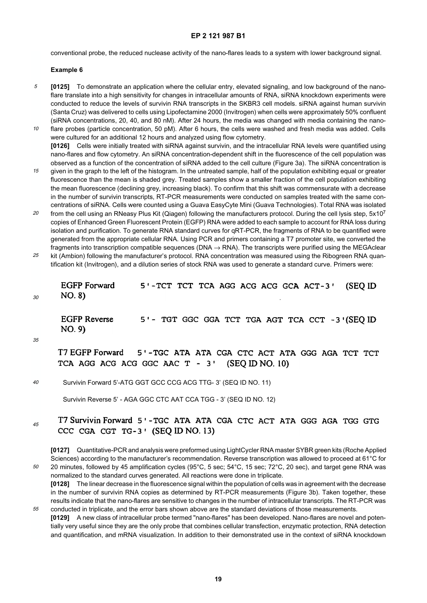conventional probe, the reduced nuclease activity of the nano-flares leads to a system with lower background signal.

#### **Example 6**

- 5 **[0125]** To demonstrate an application where the cellular entry, elevated signaling, and low background of the nanoflare translate into a high sensitivity for changes in intracellular amounts of RNA, siRNA knockdown experiments were conducted to reduce the levels of survivin RNA transcripts in the SKBR3 cell models. siRNA against human survivin (Santa Cruz) was delivered to cells using Lipofectamine 2000 (Invitrogen) when cells were approximately 50% confluent (siRNA concentrations, 20, 40, and 80 nM). After 24 hours, the media was changed with media containing the nano-
- 10 flare probes (particle concentration, 50 pM). After 6 hours, the cells were washed and fresh media was added. Cells were cultured for an additional 12 hours and analyzed using flow cytometry. **[0126]** Cells were initially treated with siRNA against survivin, and the intracellular RNA levels were quantified using nano-flares and flow cytometry. An siRNA concentration-dependent shift in the fluorescence of the cell population was observed as a function of the concentration of siRNA added to the cell culture (Figure 3a). The siRNA concentration is
- 15 given in the graph to the left of the histogram. In the untreated sample, half of the population exhibiting equal or greater fluorescence than the mean is shaded grey. Treated samples show a smaller fraction of the cell population exhibiting the mean fluorescence (declining grey, increasing black). To confirm that this shift was commensurate with a decrease in the number of survivin transcripts, RT-PCR measurements were conducted on samples treated with the same concentrations of siRNA. Cells were counted using a Guava EasyCyte Mini (Guava Technologies). Total RNA was isolated
- 20 from the cell using an RNeasy Plus Kit (Qiagen) following the manufacturers protocol. During the cell lysis step, 5x107 copies of Enhanced Green Fluorescent Protein (EGFP) RNA were added to each sample to account for RNA loss during isolation and purification. To generate RNA standard curves for qRT-PCR, the fragments of RNA to be quantified were generated from the appropriate cellular RNA. Using PCR and primers containing a T7 promoter site, we converted the fragments into transcription compatible sequences (DNA  $\rightarrow$  RNA). The transcripts were purified using the MEGAclear
- 25 kit (Ambion) following the manufacturer's protocol. RNA concentration was measured using the Ribogreen RNA quantification kit (Invitrogen), and a dilution series of stock RNA was used to generate a standard curve. Primers were:

**EGFP Forward** 5'-TCT TCT TCA AGG ACG ACG GCA ACT-3' (SEO ID) NO. 8)

**EGFP Reverse** 5'- TGT GGC GGA TCT TGA AGT TCA CCT -3'(SEQ ID NO. 9)

35

55

30

T7 EGFP Forward 5'-TGC ATA ATA CGA CTC ACT ATA GGG AGA TCT TCT TCA AGG ACG ACG GGC AAC T - 3'  $(SEQ ID NO. 10)$ 

 $40$ Survivin Forward 5'-ATG GGT GCC CCG ACG TTG- 3' (SEQ ID NO. 11)

Survivin Reverse 5' - AGA GGC CTC AAT CCA TGG - 3' (SEQ ID NO. 12)

#### T7 Survivin Forward 5'-TGC ATA ATA CGA CTC ACT ATA GGG AGA TGG GTG 45 CCC CGA CGT TG-3' (SEQ ID NO. 13)

50 **[0127]** Quantitative-PCR and analysis were preformed using LightCycler RNA master SYBR green kits (Roche Applied Sciences) according to the manufacturer's recommendation. Reverse transcription was allowed to proceed at 61°C for 20 minutes, followed by 45 amplification cycles (95°C, 5 sec; 54°C, 15 sec; 72°C, 20 sec), and target gene RNA was normalized to the standard curves generated. All reactions were done in triplicate.

**[0128]** The linear decrease in the fluorescence signal within the population of cells was in agreement with the decrease in the number of survivin RNA copies as determined by RT-PCR measurements (Figure 3b). Taken together, these results indicate that the nano-flares are sensitive to changes in the number of intracellular transcripts. The RT-PCR was conducted in triplicate, and the error bars shown above are the standard deviations of those measurements.

**[0129]** A new class of intracellular probe termed "nano-flares" has been developed. Nano-flares are novel and potentially very useful since they are the only probe that combines cellular transfection, enzymatic protection, RNA detection and quantification, and mRNA visualization. In addition to their demonstrated use in the context of siRNA knockdown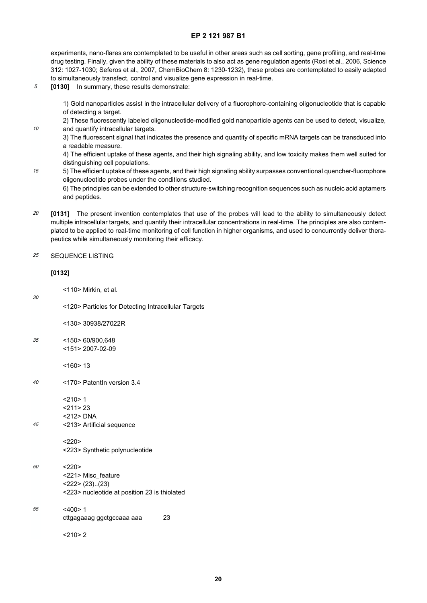experiments, nano-flares are contemplated to be useful in other areas such as cell sorting, gene profiling, and real-time drug testing. Finally, given the ability of these materials to also act as gene regulation agents (Rosi et al., 2006, Science 312: 1027-1030; Seferos et al., 2007, ChemBioChem 8: 1230-1232), these probes are contemplated to easily adapted to simultaneously transfect, control and visualize gene expression in real-time.

5 **[0130]** In summary, these results demonstrate:

> 1) Gold nanoparticles assist in the intracellular delivery of a fluorophore-containing oligonucleotide that is capable of detecting a target.

2) These fluorescently labeled oligonucleotide-modified gold nanoparticle agents can be used to detect, visualize, and quantify intracellular targets.

3) The fluorescent signal that indicates the presence and quantity of specific mRNA targets can be transduced into a readable measure.

4) The efficient uptake of these agents, and their high signaling ability, and low toxicity makes them well suited for distinguishing cell populations.

5) The efficient uptake of these agents, and their high signaling ability surpasses conventional quencher-fluorophore oligonucleotide probes under the conditions studied.

6) The principles can be extended to other structure-switching recognition sequences such as nucleic acid aptamers and peptides.

20 **[0131]** The present invention contemplates that use of the probes will lead to the ability to simultaneously detect multiple intracellular targets, and quantify their intracellular concentrations in real-time. The principles are also contemplated to be applied to real-time monitoring of cell function in higher organisms, and used to concurrently deliver therapeutics while simultaneously monitoring their efficacy.

#### 25 SEQUENCE LISTING

#### **[0132]**

10

15

30

<110> Mirkin, et al.

<120> Particles for Detecting Intracellular Targets

<130> 30938/27022R

35 <150> 60/900,648 <151> 2007-02-09

 $<$  160 $>$  13

- $\overline{40}$ <170> PatentIn version 3.4
	- $< 210 > 1$
	- <211> 23 <212> DNA
- 45 <213> Artificial sequence
	- $<220>$
	- <223> Synthetic polynucleotide

#### 50  $<220>$ <221> Misc\_feature <222> (23)..(23) <223> nucleotide at position 23 is thiolated

55  $<\!\!\Delta$ 00 $>1$ cttgagaaag ggctgccaaa aaa 23

 $< 210 > 2$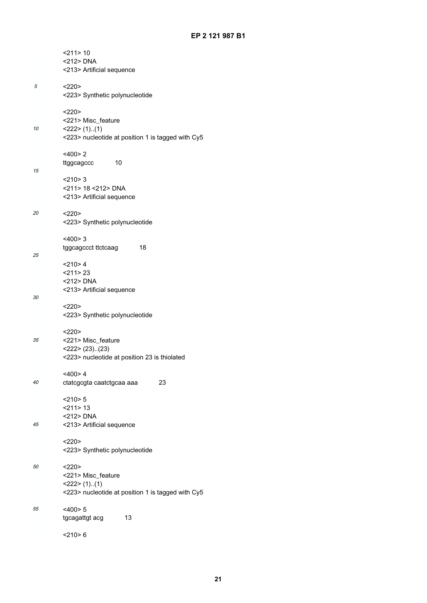|    | $<$ 211>10<br><212> DNA<br><213> Artificial sequence                                                |
|----|-----------------------------------------------------------------------------------------------------|
| 5  | <220<br><223> Synthetic polynucleotide                                                              |
| 10 | <220><br><221> Misc_feature<br>$<$ 222> (1)(1)<br><223> nucleotide at position 1 is tagged with Cy5 |
| 15 | $<$ 400>2<br>10<br>ttggcagccc                                                                       |
|    | $<$ 210>3<br><211> 18 <212> DNA<br><213> Artificial sequence                                        |
| 20 | <220<br><223> Synthetic polynucleotide                                                              |
| 25 | <400>3<br>18<br>tggcagccct ttctcaag                                                                 |
|    | $<$ 210>4<br>$<$ 211 > 23<br><212> DNA<br><213> Artificial sequence                                 |
| 30 | <220<br><223> Synthetic polynucleotide                                                              |
| 35 | <220><br><221> Misc_feature<br>$<$ 222> (23)(23)<br><223> nucleotide at position 23 is thiolated    |
| 40 | <400> 4<br>23<br>ctatcgcgta caatctgcaa aaa                                                          |
| 45 | $<$ 210>5<br>$<$ 211>13<br><212> DNA<br><213> Artificial sequence                                   |
|    | <220<br><223> Synthetic polynucleotide                                                              |
| 50 | <220<br><221> Misc_feature<br>$<$ 222> (1)(1)<br><223> nucleotide at position 1 is tagged with Cy5  |
| 55 | $<$ 400 $>$ 5<br>13<br>tgcagattgt acg                                                               |
|    | $<$ 210>6                                                                                           |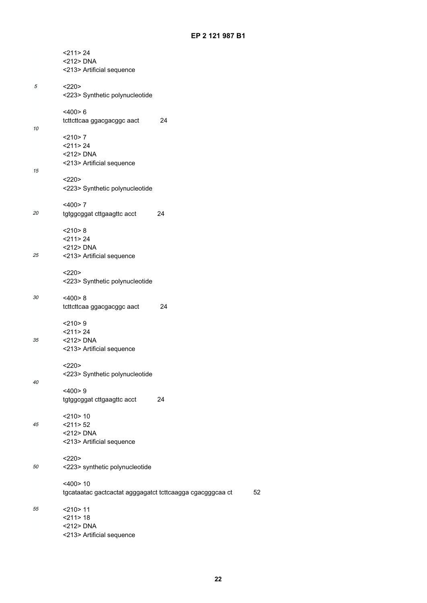|    | $<$ 211> 24<br><212> DNA<br><213> Artificial sequence                    |    |    |
|----|--------------------------------------------------------------------------|----|----|
| 5  | <220><br><223> Synthetic polynucleotide                                  |    |    |
| 10 | $<$ 400 $> 6$<br>tcttcttcaa ggacgacggc aact                              | 24 |    |
|    | $<$ 210 $>$ 7<br>$<$ 211 > 24<br><212> DNA<br><213> Artificial sequence  |    |    |
| 15 | <220><br><223> Synthetic polynucleotide                                  |    |    |
| 20 | $<$ 400 $>$ 7<br>tgtggcggat cttgaagttc acct                              | 24 |    |
| 25 | $<$ 210 $> 8$<br>$<$ 211>24<br><212> DNA<br><213> Artificial sequence    |    |    |
|    | <220><br><223> Synthetic polynucleotide                                  |    |    |
| 30 | $<$ 400 $> 8$<br>tcttcttcaa ggacgacggc aact                              | 24 |    |
| 35 | $<$ 210 > 9<br><211>24<br><212> DNA<br><213> Artificial sequence         |    |    |
| 40 | <220<br><223> Synthetic polynucleotide<br>$<$ 400 $>9$                   |    |    |
|    | tgtggcggat cttgaagttc acct<br>$<$ 210 $>$ 10                             | 24 |    |
| 45 | $<$ 211> 52<br><212> DNA<br><213> Artificial sequence                    |    |    |
| 50 | <220><br><223> synthetic polynucleotide                                  |    |    |
|    | $<$ 400>10<br>tgcataatac gactcactat agggagatct tcttcaagga cgacgggcaa ct  |    | 52 |
| 55 | $<$ 210 $>$ 11<br>$<$ 211 > 18<br><212> DNA<br><213> Artificial sequence |    |    |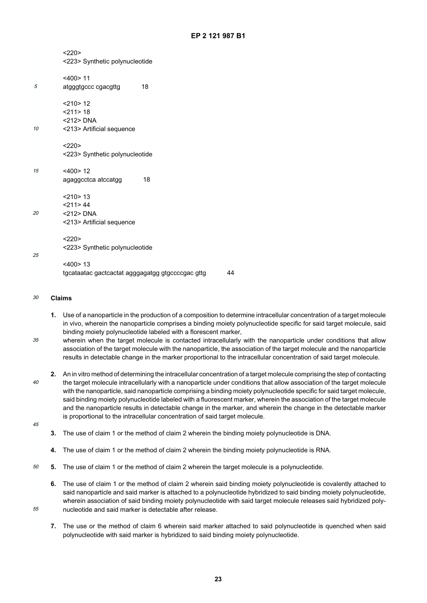$< 220$ 

- <223> Synthetic polynucleotide
- 5 <400> 11 atgggtgccc cgacgttg 18

 $<$  210 $>$  12

<211> 18 <212> DNA

10 <213> Artificial sequence

> $< 220$ <223> Synthetic polynucleotide

- 15  $<$ 400 $>$ 12 agaggcctca atccatgg 18
	- <210> 13  $<$ 211>44
	- <212> DNA
	- <213> Artificial sequence
	- $< 220$
	- <223> Synthetic polynucleotide
- 25

20

<400> 13 tgcataatac gactcactat agggagatgg gtgccccgac gttg 44

#### 30 **Claims**

- **1.** Use of a nanoparticle in the production of a composition to determine intracellular concentration of a target molecule in vivo, wherein the nanoparticle comprises a binding moiety polynucleotide specific for said target molecule, said binding moiety polynucleotide labeled with a florescent marker,
- 35 wherein when the target molecule is contacted intracellularly with the nanoparticle under conditions that allow association of the target molecule with the nanoparticle, the association of the target molecule and the nanoparticle results in detectable change in the marker proportional to the intracellular concentration of said target molecule.
- $\overline{40}$ **2.** An in vitro method of determining the intracellular concentration of a target molecule comprising the step of contacting the target molecule intracellularly with a nanoparticle under conditions that allow association of the target molecule with the nanoparticle, said nanoparticle comprising a binding moiety polynucleotide specific for said target molecule, said binding moiety polynucleotide labeled with a fluorescent marker, wherein the association of the target molecule and the nanoparticle results in detectable change in the marker, and wherein the change in the detectable marker is proportional to the intracellular concentration of said target molecule.
- 45

55

- **3.** The use of claim 1 or the method of claim 2 wherein the binding moiety polynucleotide is DNA.
- **4.** The use of claim 1 or the method of claim 2 wherein the binding moiety polynucleotide is RNA.
- 50 **5.** The use of claim 1 or the method of claim 2 wherein the target molecule is a polynucleotide.
	- **6.** The use of claim 1 or the method of claim 2 wherein said binding moiety polynucleotide is covalently attached to said nanoparticle and said marker is attached to a polynucleotide hybridized to said binding moiety polynucleotide, wherein association of said binding moiety polynucleotide with said target molecule releases said hybridized polynucleotide and said marker is detectable after release.
	- **7.** The use or the method of claim 6 wherein said marker attached to said polynucleotide is quenched when said polynucleotide with said marker is hybridized to said binding moiety polynucleotide.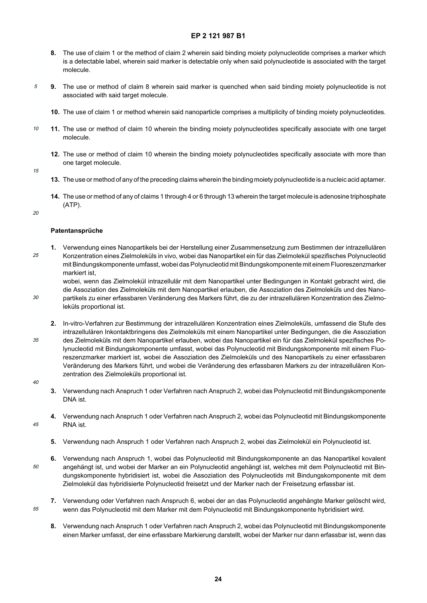- **8.** The use of claim 1 or the method of claim 2 wherein said binding moiety polynucleotide comprises a marker which is a detectable label, wherein said marker is detectable only when said polynucleotide is associated with the target molecule.
- **9.** The use or method of claim 8 wherein said marker is quenched when said binding moiety polynucleotide is not associated with said target molecule.
	- **10.** The use of claim 1 or method wherein said nanoparticle comprises a multiplicity of binding moiety polynucleotides.
- 10 **11.** The use or method of claim 10 wherein the binding moiety polynucleotides specifically associate with one target molecule.
	- **12.** The use or method of claim 10 wherein the binding moiety polynucleotides specifically associate with more than one target molecule.
- 15

5

- **13.** The use or method of any of the preceding claims wherein the binding moiety polynucleotide is a nucleic acid aptamer.
- **14.** The use or method of any of claims 1 through 4 or 6 through 13 wherein the target molecule is adenosine triphosphate (ATP).
- 20

30

#### **Patentansprüche**

25 **1.** Verwendung eines Nanopartikels bei der Herstellung einer Zusammensetzung zum Bestimmen der intrazellulären Konzentration eines Zielmoleküls in vivo, wobei das Nanopartikel ein für das Zielmolekül spezifisches Polynucleotid mit Bindungskomponente umfasst, wobei das Polynucleotid mit Bindungskomponente mit einem Fluoreszenzmarker markiert ist,

wobei, wenn das Zielmolekül intrazellulär mit dem Nanopartikel unter Bedingungen in Kontakt gebracht wird, die die Assoziation des Zielmoleküls mit dem Nanopartikel erlauben, die Assoziation des Zielmoleküls und des Nanopartikels zu einer erfassbaren Veränderung des Markers führt, die zu der intrazellulären Konzentration des Zielmoleküls proportional ist.

- 35 **2.** In-vitro-Verfahren zur Bestimmung der intrazellulären Konzentration eines Zielmoleküls, umfassend die Stufe des intrazellulären Inkontaktbringens des Zielmoleküls mit einem Nanopartikel unter Bedingungen, die die Assoziation des Zielmoleküls mit dem Nanopartikel erlauben, wobei das Nanopartikel ein für das Zielmolekül spezifisches Polynucleotid mit Bindungskomponente umfasst, wobei das Polynucleotid mit Bindungskomponente mit einem Fluoreszenzmarker markiert ist, wobei die Assoziation des Zielmoleküls und des Nanopartikels zu einer erfassbaren Veränderung des Markers führt, und wobei die Veränderung des erfassbaren Markers zu der intrazellulären Konzentration des Zielmoleküls proportional ist.
- $\overline{40}$

45

55

- **3.** Verwendung nach Anspruch 1 oder Verfahren nach Anspruch 2, wobei das Polynucleotid mit Bindungskomponente DNA ist.
- **4.** Verwendung nach Anspruch 1 oder Verfahren nach Anspruch 2, wobei das Polynucleotid mit Bindungskomponente RNA ist.
	- **5.** Verwendung nach Anspruch 1 oder Verfahren nach Anspruch 2, wobei das Zielmolekül ein Polynucleotid ist.
- 50 **6.** Verwendung nach Anspruch 1, wobei das Polynucleotid mit Bindungskomponente an das Nanopartikel kovalent angehängt ist, und wobei der Marker an ein Polynucleotid angehängt ist, welches mit dem Polynucleotid mit Bindungskomponente hybridisiert ist, wobei die Assoziation des Polynucleotids mit Bindungskomponente mit dem Zielmolekül das hybridisierte Polynucleotid freisetzt und der Marker nach der Freisetzung erfassbar ist.
	- **7.** Verwendung oder Verfahren nach Anspruch 6, wobei der an das Polynucleotid angehängte Marker gelöscht wird, wenn das Polynucleotid mit dem Marker mit dem Polynucleotid mit Bindungskomponente hybridisiert wird.
		- **8.** Verwendung nach Anspruch 1 oder Verfahren nach Anspruch 2, wobei das Polynucleotid mit Bindungskomponente einen Marker umfasst, der eine erfassbare Markierung darstellt, wobei der Marker nur dann erfassbar ist, wenn das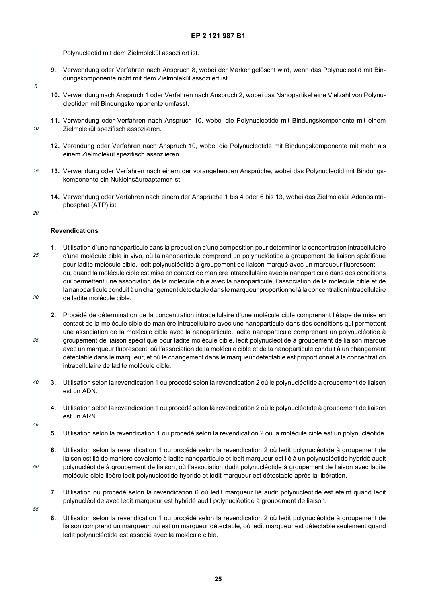Polynucleotid mit dem Zielmolekül assoziiert ist.

- **9.** Verwendung oder Verfahren nach Anspruch 8, wobei der Marker gelöscht wird, wenn das Polynucleotid mit Bindungskomponente nicht mit dem Zielmolekül assoziiert ist.
- **10.** Verwendung nach Anspruch 1 oder Verfahren nach Anspruch 2, wobei das Nanopartikel eine Vielzahl von Polynucleotiden mit Bindungskomponente umfasst.
- **11.** Verwendung oder Verfahren nach Anspruch 10, wobei die Polynucleotide mit Bindungskomponente mit einem Zielmolekül spezifisch assoziieren.
	- **12.** Verendung oder Verfahren nach Anspruch 10, wobei die Polynucleotide mit Bindungskomponente mit mehr als einem Zielmolekül spezifisch assoziieren.
- 15 **13.** Verwendung oder Verfahren nach einem der vorangehenden Ansprüche, wobei das Polynucleotid mit Bindungskomponente ein Nukleinsäureaptamer ist.
	- **14.** Verwendung oder Verfahren nach einem der Ansprüche 1 bis 4 oder 6 bis 13, wobei das Zielmolekül Adenosintriphosphat (ATP) ist.
- 20

5

10

#### **Revendications**

- 25 30 **1.** Utilisation d'une nanoparticule dans la production d'une composition pour déterminer la concentration intracellulaire d'une molécule cible in vivo, où la nanoparticule comprend un polynucléotide à groupement de liaison spécifique pour ladite molécule cible, ledit polynucléotide à groupement de liaison marqué avec un marqueur fluorescent, où, quand la molécule cible est mise en contact de manière intracellulaire avec la nanoparticule dans des conditions qui permettent une association de la molécule cible avec la nanoparticule, l'association de la molécule cible et de la nanoparticule conduit à un changement détectable dans le marqueur proportionnel à la concentration intracellulaire de ladite molécule cible.
	- **2.** Procédé de détermination de la concentration intracellulaire d'une molécule cible comprenant l'étape de mise en contact de la molécule cible de manière intracellulaire avec une nanoparticule dans des conditions qui permettent une association de la molécule cible avec la nanoparticule, ladite nanoparticule comprenant un polynucléotide à groupement de liaison spécifique pour ladite molécule cible, ledit polynucléotide à groupement de liaison marqué avec un marqueur fluorescent, où l'association de la molécule cible et de la nanoparticule conduit à un changement détectable dans le marqueur, et où le changement dans le marqueur détectable est proportionnel à la concentration intracellulaire de ladite molécule cible.
- $40$ **3.** Utilisation selon la revendication 1 ou procédé selon la revendication 2 où le polynucléotide à groupement de liaison est un ADN.
	- **4.** Utilisation selon la revendication 1 ou procédé selon la revendication 2 où le polynucléotide à groupement de liaison est un ARN.
- 45

35

- **5.** Utilisation selon la revendication 1 ou procédé selon la revendication 2 où la molécule cible est un polynucléotide.
- **6.** Utilisation selon la revendication 1 ou procédé selon la revendication 2 où ledit polynucléotide à groupement de liaison est lié de manière covalente à ladite nanoparticule et ledit marqueur est lié à un polynucléotide hybridé audit polynucléotide à groupement de liaison, où l'association dudit polynucléotide à groupement de liaison avec ladite molécule cible libère ledit polynucléotide hybridé et ledit marqueur est détectable après la libération.
- **7.** Utilisation ou procédé selon la revendication 6 où ledit marqueur lié audit polynucléotide est éteint quand ledit polynucléotide avec ledit marqueur est hybridé audit polynucléotide à groupement de liaison.
- 55

50

**8.** Utilisation selon la revendication 1 ou procédé selon la revendication 2 où ledit polynucléotide à groupement de liaison comprend un marqueur qui est un marqueur détectable, où ledit marqueur est détectable seulement quand ledit polynucléotide est associé avec la molécule cible.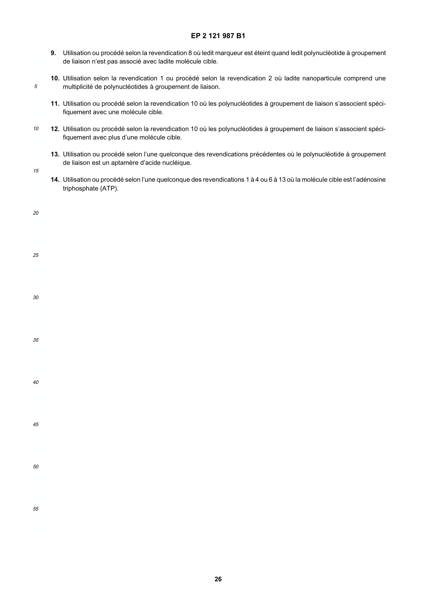- **9.** Utilisation ou procédé selon la revendication 8 où ledit marqueur est éteint quand ledit polynucléotide à groupement de liaison n'est pas associé avec ladite molécule cible.
- **10.** Utilisation selon la revendication 1 ou procédé selon la revendication 2 où ladite nanoparticule comprend une multiplicité de polynucléotides à groupement de liaison.
- **11.** Utilisation ou procédé selon la revendication 10 où les polynucléotides à groupement de liaison s'associent spécifiquement avec une molécule cible.
- 10 **12.** Utilisation ou procédé selon la revendication 10 où les polynucléotides à groupement de liaison s'associent spécifiquement avec plus d'une molécule cible.
	- **13.** Utilisation ou procédé selon l'une quelconque des revendications précédentes où le polynucléotide à groupement de liaison est un aptamère d'acide nucléique.
- 15

5

**14.** Utilisation ou procédé selon l'une quelconque des revendications 1 à 4 ou 6 à 13 où la molécule cible est l'adénosine triphosphate (ATP).

| 20 |  |  |  |
|----|--|--|--|
| 25 |  |  |  |
| 30 |  |  |  |
| 35 |  |  |  |
| 40 |  |  |  |
| 45 |  |  |  |
| 50 |  |  |  |
| 55 |  |  |  |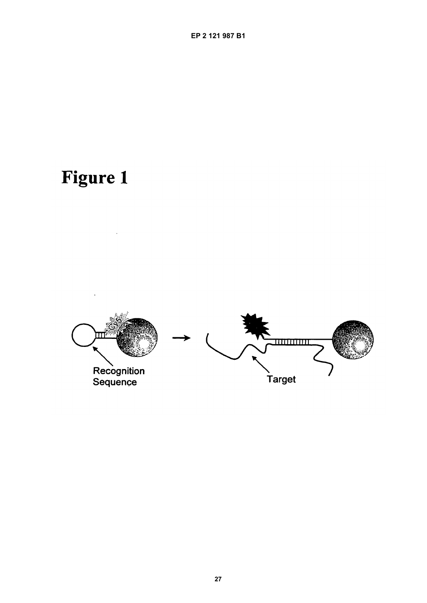# **Figure 1**

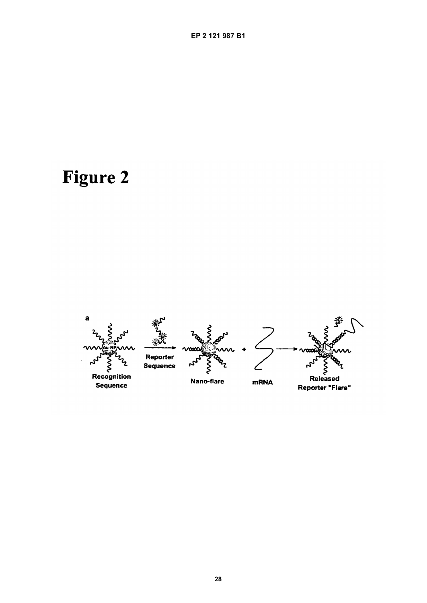## **Figure 2**

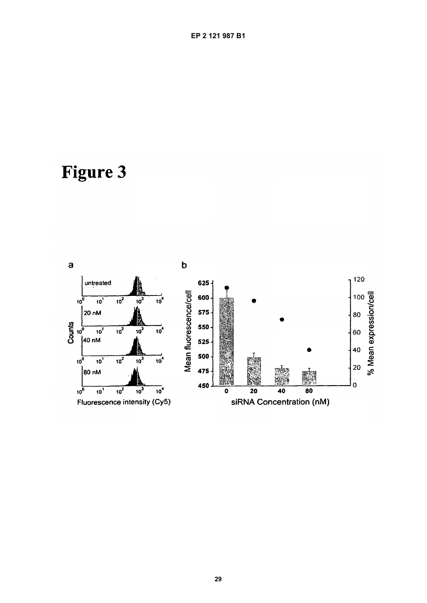## **Figure 3**

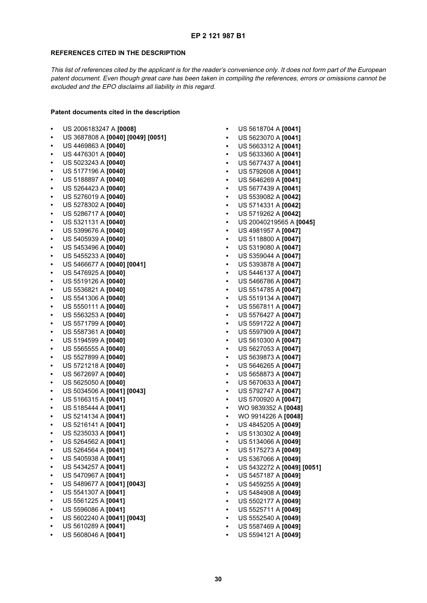#### **REFERENCES CITED IN THE DESCRIPTION**

This list of references cited by the applicant is for the reader's convenience only. It does not form part of the European patent document. Even though great care has been taken in compiling the references, errors or omissions cannot be excluded and the EPO disclaims all liability in this regard.

#### **Patent documents cited in the description**

- **•** US 2006183247 A **[0008]**
- **•** US 3687808 A **[0040] [0049] [0051]**
- **•** US 4469863 A **[0040]**
- **•** US 4476301 A **[0040]**
- **•** US 5023243 A **[0040]**
- **•** US 5177196 A **[0040]**
- **•** US 5188897 A **[0040]**
- **•** US 5264423 A **[0040]**
- **•** US 5276019 A **[0040]**
- **•** US 5278302 A **[0040]**
- **•** US 5286717 A **[0040]**
- **•** US 5321131 A **[0040]**
- **•** US 5399676 A **[0040]**
- **•** US 5405939 A **[0040]**
- **•** US 5453496 A **[0040]**
- **•** US 5455233 A **[0040]**
- **•** US 5466677 A **[0040] [0041]**
- **•** US 5476925 A **[0040]**
- **•** US 5519126 A **[0040]**
- **•** US 5536821 A **[0040]**
- **•** US 5541306 A **[0040]**
- **•** US 5550111 A **[0040]**
- **•** US 5563253 A **[0040]**
- **•** US 5571799 A **[0040]**
- **•** US 5587361 A **[0040]**
- **•** US 5194599 A **[0040]**
- **•** US 5565555 A **[0040]**
- **•** US 5527899 A **[0040]**
- **•** US 5721218 A **[0040]**
- **•** US 5672697 A **[0040]**
- **•** US 5625050 A **[0040]**
- **•** US 5034506 A **[0041] [0043]**
- **•** US 5166315 A **[0041]**
- **•** US 5185444 A **[0041]**
- **•** US 5214134 A **[0041]**
- **•** US 5216141 A **[0041]**
- **•** US 5235033 A **[0041]**
- **•** US 5264562 A **[0041]**
- **•** US 5264564 A **[0041]**
- **•** US 5405938 A **[0041]**
- **•** US 5434257 A **[0041]**
- **•** US 5470967 A **[0041]**
- **•** US 5489677 A **[0041] [0043]**
- **•** US 5541307 A **[0041]**
- **•** US 5561225 A **[0041]**
- **•** US 5596086 A **[0041]**
- **•** US 5602240 A **[0041] [0043]**
- **•** US 5610289 A **[0041]**
- **•** US 5608046 A **[0041]**

**•** US 5618704 A **[0041] •** US 5623070 A **[0041] •** US 5663312 A **[0041] •** US 5633360 A **[0041] •** US 5677437 A **[0041] •** US 5792608 A **[0041] •** US 5646269 A **[0041] •** US 5677439 A **[0041] •** US 5539082 A **[0042] •** US 5714331 A **[0042] •** US 5719262 A **[0042] •** US 20040219565 A **[0045] •** US 4981957 A **[0047] •** US 5118800 A **[0047] •** US 5319080 A **[0047] •** US 5359044 A **[0047] •** US 5393878 A **[0047] •** US 5446137 A **[0047] •** US 5466786 A **[0047] •** US 5514785 A **[0047] •** US 5519134 A **[0047] •** US 5567811 A **[0047] •** US 5576427 A **[0047] •** US 5591722 A **[0047] •** US 5597909 A **[0047] •** US 5610300 A **[0047] •** US 5627053 A **[0047] •** US 5639873 A **[0047] •** US 5646265 A **[0047] •** US 5658873 A **[0047] •** US 5670633 A **[0047] •** US 5792747 A **[0047] •** US 5700920 A **[0047] •** WO 9839352 A **[0048] •** WO 9914226 A **[0048] •** US 4845205 A **[0049] •** US 5130302 A **[0049] •** US 5134066 A **[0049] •** US 5175273 A **[0049] •** US 5367066 A **[0049] •** US 5432272 A **[0049] [0051] •** US 5457187 A **[0049] •** US 5459255 A **[0049] •** US 5484908 A **[0049] •** US 5502177 A **[0049] •** US 5525711 A **[0049] •** US 5552540 A **[0049] •** US 5587469 A **[0049] •** US 5594121 A **[0049]**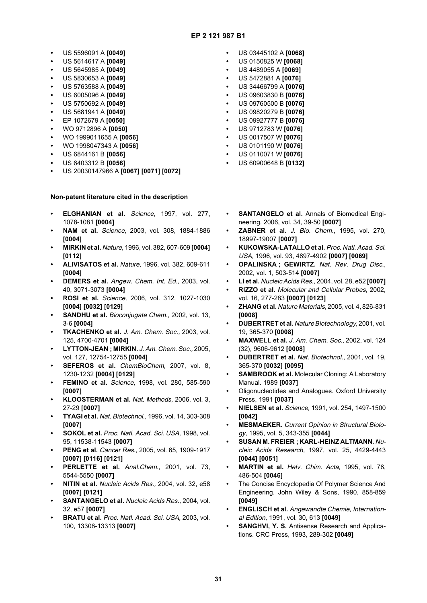- **•** US 5596091 A **[0049]**
- **•** US 5614617 A **[0049]**
- **•** US 5645985 A **[0049]**
- **•** US 5830653 A **[0049]**
- **•** US 5763588 A **[0049]**
- **•** US 6005096 A **[0049]**
- **•** US 5750692 A **[0049]**
- **•** US 5681941 A **[0049]**
- **•** EP 1072679 A **[0050]**
- **•** WO 9712896 A **[0050]**
- **•** WO 1999011655 A **[0056]**
- **•** WO 1998047343 A **[0056]**
- **•** US 6844161 B **[0056]**
- **•** US 6403312 B **[0056]**
- **•** US 20030147966 A **[0067] [0071] [0072]**

#### **Non-patent literature cited in the description**

- **ELGHANIAN et al.** Science, 1997, vol. 277, 1078-1081 **[0004]**
- **NAM et al.** Science, 2003, vol. 308, 1884-1886 **[0004]**
- **MIRKIN et al.** Nature, 1996, vol. 382, 607-609 **[0004] [0112]**
- **ALIVISATOS et al.** Nature, 1996, vol. 382, 609-611 **[0004]**
- **DEMERS et al.** Angew. Chem. Int. Ed., 2003, vol. 40, 3071-3073 **[0004]**
- **ROSI et al.** Science, 2006, vol. 312, 1027-1030 **[0004] [0032] [0129]**
- **SANDHU et al.** Bioconjugate Chem., 2002, vol. 13, 3-6 **[0004]**
- **TKACHENKO et al.** J. Am. Chem. Soc., 2003, vol. 125, 4700-4701 **[0004]**
- **LYTTON-JEAN ; MIRKIN.** J. Am. Chem. Soc., 2005, vol. 127, 12754-12755 **[0004]**
- **SEFEROS et al.** ChemBioChem, 2007, vol. 8, 1230-1232 **[0004] [0129]**
- **FEMINO et al.** Science, 1998, vol. 280, 585-590 **[0007]**
- **KLOOSTERMAN et al.** Nat. Methods, 2006, vol. 3, 27-29 **[0007]**
- **TYAGI et al.** Nat. Biotechnol., 1996, vol. 14, 303-308 **[0007]**
- **SOKOL et al.** Proc. Natl. Acad. Sci. USA, 1998, vol. 95, 11538-11543 **[0007]**
- **PENG et al.** Cancer Res., 2005, vol. 65, 1909-1917 **[0007] [0116] [0121]**
- **PERLETTE et al.** Anal.Chem., 2001, vol. 73, 5544-5550 **[0007]**
- **NITIN et al.** Nucleic Acids Res., 2004, vol. 32, e58 **[0007] [0121]**
- **SANTANGELO et al.** Nucleic Acids Res., 2004, vol. 32, e57 **[0007]**
- **BRATU et al.** Proc. Natl. Acad. Sci. USA, 2003, vol. 100, 13308-13313 **[0007]**
- **•** US 03445102 A **[0068]**
- **•** US 0150825 W **[0068]**
- **•** US 4489055 A **[0069]**
- **•** US 5472881 A **[0076]**
- **•** US 34466799 A **[0076]**
- **•** US 09603830 B **[0076]**
- **•** US 09760500 B **[0076]**
- **•** US 09820279 B **[0076] •** US 09927777 B **[0076]**
- **•** US 9712783 W **[0076]**
- **•** US 0017507 W **[0076]**
- **•** US 0101190 W **[0076]**
- **•** US 0110071 W **[0076]**
- **•** US 60900648 B **[0132]**
- **SANTANGELO et al.** Annals of Biomedical Engineering. 2006, vol. 34, 39-50 **[0007]**
- **ZABNER et al.** J. Bio. Chem., 1995, vol. 270, 18997-19007 **[0007]**
- **KUKOWSKA-LATALLO et al.** Proc. Natl. Acad. Sci. USA, 1996, vol. 93, 4897-4902 **[0007] [0069]**
- **OPALINSKA ; GEWIRTZ.** Nat. Rev. Drug Disc., 2002, vol. 1, 503-514 **[0007]**
- **LI et al.** Nucleic Acids Res., 2004, vol. 28, e52 **[0007]**
- **RIZZO et al.** Molecular and Cellular Probes, 2002, vol. 16, 277-283 **[0007] [0123]**
- **ZHANG et al.** Nature Materials, 2005, vol. 4, 826-831 **[0008]**
- **DUBERTRET et al.** Nature Biotechnology, 2001, vol. 19, 365-370 **[0008]**
- **MAXWELL et al.** J. Am. Chem. Soc., 2002, vol. 124 (32), 9606-9612 **[0008]**
- **DUBERTRET et al.** Nat. Biotechnol., 2001, vol. 19, 365-370 **[0032] [0095]**
- **SAMBROOK et al. Molecular Cloning: A Laboratory** Manual. 1989 **[0037]**
- **•** Oligonucleotides and Analogues. Oxford University Press, 1991 **[0037]**
- **NIELSEN et al.** Science, 1991, vol. 254, 1497-1500 **[0042]**
- **MESMAEKER.** Current Opinion in Structural Biology, 1995, vol. 5, 343-355 **[0044]**
- **SUSAN M. FREIER ; KARL-HEINZ ALTMANN.** Nucleic Acids Research, 1997, vol. 25, 4429-4443 **[0044] [0051]**
- **MARTIN et al.** Helv. Chim. Acta, 1995, vol. 78, 486-504 **[0046]**
- **•** The Concise Encyclopedia Of Polymer Science And Engineering. John Wiley & Sons, 1990, 858-859 **[0049]**
- **ENGLISCH et al.** Angewandte Chemie, International Edition, 1991, vol. 30, 613 **[0049]**
- **SANGHVI, Y. S.** Antisense Research and Applications. CRC Press, 1993, 289-302 **[0049]**